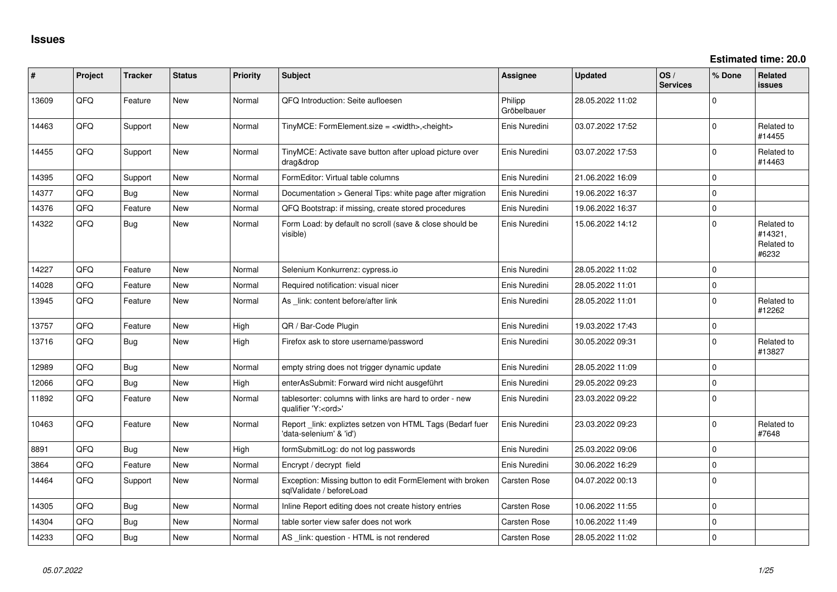| #     | Project | <b>Tracker</b> | <b>Status</b> | <b>Priority</b> | <b>Subject</b>                                                                        | <b>Assignee</b>        | <b>Updated</b>   | OS/<br><b>Services</b> | % Done              | <b>Related</b><br><b>issues</b>              |
|-------|---------|----------------|---------------|-----------------|---------------------------------------------------------------------------------------|------------------------|------------------|------------------------|---------------------|----------------------------------------------|
| 13609 | QFQ     | Feature        | New           | Normal          | QFQ Introduction: Seite aufloesen                                                     | Philipp<br>Gröbelbauer | 28.05.2022 11:02 |                        | $\mathbf 0$         |                                              |
| 14463 | QFQ     | Support        | New           | Normal          | TinyMCE: FormElement.size = <width>,<height></height></width>                         | Enis Nuredini          | 03.07.2022 17:52 |                        | $\mathbf 0$         | Related to<br>#14455                         |
| 14455 | QFQ     | Support        | New           | Normal          | TinyMCE: Activate save button after upload picture over<br>drag&drop                  | Enis Nuredini          | 03.07.2022 17:53 |                        | $\mathbf 0$         | Related to<br>#14463                         |
| 14395 | QFQ     | Support        | New           | Normal          | FormEditor: Virtual table columns                                                     | Enis Nuredini          | 21.06.2022 16:09 |                        | $\mathbf 0$         |                                              |
| 14377 | QFQ     | Bug            | <b>New</b>    | Normal          | Documentation > General Tips: white page after migration                              | Enis Nuredini          | 19.06.2022 16:37 |                        | $\mathbf 0$         |                                              |
| 14376 | QFQ     | Feature        | New           | Normal          | QFQ Bootstrap: if missing, create stored procedures                                   | Enis Nuredini          | 19.06.2022 16:37 |                        | $\mathsf{O}\xspace$ |                                              |
| 14322 | QFQ     | <b>Bug</b>     | New           | Normal          | Form Load: by default no scroll (save & close should be<br>visible)                   | Enis Nuredini          | 15.06.2022 14:12 |                        | $\Omega$            | Related to<br>#14321,<br>Related to<br>#6232 |
| 14227 | QFQ     | Feature        | <b>New</b>    | Normal          | Selenium Konkurrenz: cypress.io                                                       | Enis Nuredini          | 28.05.2022 11:02 |                        | $\mathbf 0$         |                                              |
| 14028 | QFQ     | Feature        | New           | Normal          | Required notification: visual nicer                                                   | Enis Nuredini          | 28.05.2022 11:01 |                        | $\mathbf 0$         |                                              |
| 13945 | QFQ     | Feature        | New           | Normal          | As link: content before/after link                                                    | Enis Nuredini          | 28.05.2022 11:01 |                        | $\mathbf 0$         | Related to<br>#12262                         |
| 13757 | QFQ     | Feature        | New           | High            | QR / Bar-Code Plugin                                                                  | Enis Nuredini          | 19.03.2022 17:43 |                        | $\mathsf{O}\xspace$ |                                              |
| 13716 | QFQ     | Bug            | New           | High            | Firefox ask to store username/password                                                | Enis Nuredini          | 30.05.2022 09:31 |                        | $\Omega$            | Related to<br>#13827                         |
| 12989 | QFQ     | <b>Bug</b>     | <b>New</b>    | Normal          | empty string does not trigger dynamic update                                          | Enis Nuredini          | 28.05.2022 11:09 |                        | $\Omega$            |                                              |
| 12066 | QFQ     | <b>Bug</b>     | <b>New</b>    | High            | enterAsSubmit: Forward wird nicht ausgeführt                                          | Enis Nuredini          | 29.05.2022 09:23 |                        | $\mathbf 0$         |                                              |
| 11892 | QFQ     | Feature        | New           | Normal          | tablesorter: columns with links are hard to order - new<br>qualifier 'Y: <ord>'</ord> | Enis Nuredini          | 23.03.2022 09:22 |                        | $\mathbf 0$         |                                              |
| 10463 | QFQ     | Feature        | New           | Normal          | Report _link: expliztes setzen von HTML Tags (Bedarf fuer<br>'data-selenium' & 'id')  | Enis Nuredini          | 23.03.2022 09:23 |                        | $\mathbf 0$         | Related to<br>#7648                          |
| 8891  | QFQ     | <b>Bug</b>     | <b>New</b>    | High            | formSubmitLog: do not log passwords                                                   | Enis Nuredini          | 25.03.2022 09:06 |                        | $\Omega$            |                                              |
| 3864  | QFQ     | Feature        | New           | Normal          | Encrypt / decrypt field                                                               | Enis Nuredini          | 30.06.2022 16:29 |                        | $\mathbf 0$         |                                              |
| 14464 | QFQ     | Support        | New           | Normal          | Exception: Missing button to edit FormElement with broken<br>sqlValidate / beforeLoad | Carsten Rose           | 04.07.2022 00:13 |                        | $\Omega$            |                                              |
| 14305 | QFQ     | Bug            | New           | Normal          | Inline Report editing does not create history entries                                 | <b>Carsten Rose</b>    | 10.06.2022 11:55 |                        | $\mathbf 0$         |                                              |
| 14304 | QFQ     | <b>Bug</b>     | New           | Normal          | table sorter view safer does not work                                                 | <b>Carsten Rose</b>    | 10.06.2022 11:49 |                        | $\mathbf 0$         |                                              |
| 14233 | QFQ     | <b>Bug</b>     | New           | Normal          | AS _link: question - HTML is not rendered                                             | Carsten Rose           | 28.05.2022 11:02 |                        | $\mathbf 0$         |                                              |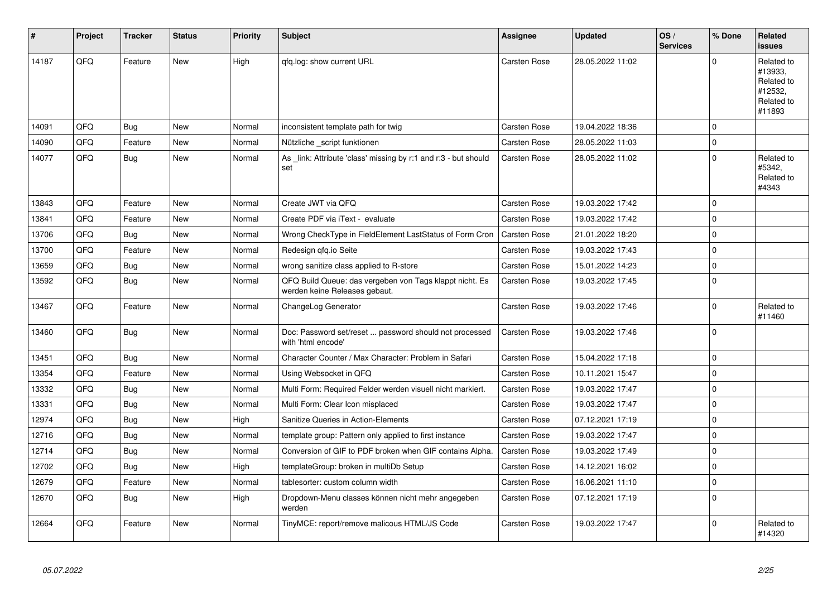| #     | Project | <b>Tracker</b> | <b>Status</b> | <b>Priority</b> | <b>Subject</b>                                                                           | <b>Assignee</b>     | <b>Updated</b>   | OS/<br><b>Services</b> | % Done      | Related<br><b>issues</b>                                               |
|-------|---------|----------------|---------------|-----------------|------------------------------------------------------------------------------------------|---------------------|------------------|------------------------|-------------|------------------------------------------------------------------------|
| 14187 | QFQ     | Feature        | New           | High            | qfq.log: show current URL                                                                | Carsten Rose        | 28.05.2022 11:02 |                        | $\Omega$    | Related to<br>#13933,<br>Related to<br>#12532,<br>Related to<br>#11893 |
| 14091 | QFQ     | <b>Bug</b>     | <b>New</b>    | Normal          | inconsistent template path for twig                                                      | <b>Carsten Rose</b> | 19.04.2022 18:36 |                        | $\mathbf 0$ |                                                                        |
| 14090 | QFQ     | Feature        | New           | Normal          | Nützliche script funktionen                                                              | Carsten Rose        | 28.05.2022 11:03 |                        | $\mathbf 0$ |                                                                        |
| 14077 | QFQ     | Bug            | New           | Normal          | As _link: Attribute 'class' missing by r:1 and r:3 - but should<br>set                   | Carsten Rose        | 28.05.2022 11:02 |                        | $\mathbf 0$ | Related to<br>#5342,<br>Related to<br>#4343                            |
| 13843 | QFQ     | Feature        | <b>New</b>    | Normal          | Create JWT via QFQ                                                                       | <b>Carsten Rose</b> | 19.03.2022 17:42 |                        | $\mathbf 0$ |                                                                        |
| 13841 | QFQ     | Feature        | New           | Normal          | Create PDF via iText - evaluate                                                          | Carsten Rose        | 19.03.2022 17:42 |                        | $\mathbf 0$ |                                                                        |
| 13706 | QFQ     | <b>Bug</b>     | <b>New</b>    | Normal          | Wrong CheckType in FieldElement LastStatus of Form Cron                                  | Carsten Rose        | 21.01.2022 18:20 |                        | $\mathbf 0$ |                                                                        |
| 13700 | QFQ     | Feature        | New           | Normal          | Redesign gfg.io Seite                                                                    | Carsten Rose        | 19.03.2022 17:43 |                        | $\mathbf 0$ |                                                                        |
| 13659 | QFQ     | <b>Bug</b>     | <b>New</b>    | Normal          | wrong sanitize class applied to R-store                                                  | <b>Carsten Rose</b> | 15.01.2022 14:23 |                        | $\Omega$    |                                                                        |
| 13592 | QFQ     | Bug            | <b>New</b>    | Normal          | QFQ Build Queue: das vergeben von Tags klappt nicht. Es<br>werden keine Releases gebaut. | Carsten Rose        | 19.03.2022 17:45 |                        | $\mathbf 0$ |                                                                        |
| 13467 | QFQ     | Feature        | New           | Normal          | ChangeLog Generator                                                                      | Carsten Rose        | 19.03.2022 17:46 |                        | $\mathbf 0$ | Related to<br>#11460                                                   |
| 13460 | QFQ     | <b>Bug</b>     | New           | Normal          | Doc: Password set/reset  password should not processed<br>with 'html encode'             | <b>Carsten Rose</b> | 19.03.2022 17:46 |                        | $\mathbf 0$ |                                                                        |
| 13451 | QFQ     | <b>Bug</b>     | <b>New</b>    | Normal          | Character Counter / Max Character: Problem in Safari                                     | Carsten Rose        | 15.04.2022 17:18 |                        | $\mathbf 0$ |                                                                        |
| 13354 | QFQ     | Feature        | <b>New</b>    | Normal          | Using Websocket in QFQ                                                                   | Carsten Rose        | 10.11.2021 15:47 |                        | $\mathbf 0$ |                                                                        |
| 13332 | QFQ     | <b>Bug</b>     | New           | Normal          | Multi Form: Required Felder werden visuell nicht markiert.                               | <b>Carsten Rose</b> | 19.03.2022 17:47 |                        | $\mathbf 0$ |                                                                        |
| 13331 | QFQ     | <b>Bug</b>     | New           | Normal          | Multi Form: Clear Icon misplaced                                                         | Carsten Rose        | 19.03.2022 17:47 |                        | $\mathbf 0$ |                                                                        |
| 12974 | QFQ     | <b>Bug</b>     | New           | High            | Sanitize Queries in Action-Elements                                                      | <b>Carsten Rose</b> | 07.12.2021 17:19 |                        | $\mathbf 0$ |                                                                        |
| 12716 | QFQ     | <b>Bug</b>     | New           | Normal          | template group: Pattern only applied to first instance                                   | Carsten Rose        | 19.03.2022 17:47 |                        | $\mathbf 0$ |                                                                        |
| 12714 | QFQ     | Bug            | New           | Normal          | Conversion of GIF to PDF broken when GIF contains Alpha.                                 | Carsten Rose        | 19.03.2022 17:49 |                        | $\mathbf 0$ |                                                                        |
| 12702 | QFQ     | <b>Bug</b>     | <b>New</b>    | High            | templateGroup: broken in multiDb Setup                                                   | <b>Carsten Rose</b> | 14.12.2021 16:02 |                        | $\mathbf 0$ |                                                                        |
| 12679 | QFQ     | Feature        | New           | Normal          | tablesorter: custom column width                                                         | Carsten Rose        | 16.06.2021 11:10 |                        | $\pmb{0}$   |                                                                        |
| 12670 | QFQ     | <b>Bug</b>     | <b>New</b>    | High            | Dropdown-Menu classes können nicht mehr angegeben<br>werden                              | Carsten Rose        | 07.12.2021 17:19 |                        | $\Omega$    |                                                                        |
| 12664 | QFQ     | Feature        | New           | Normal          | TinyMCE: report/remove malicous HTML/JS Code                                             | <b>Carsten Rose</b> | 19.03.2022 17:47 |                        | $\Omega$    | Related to<br>#14320                                                   |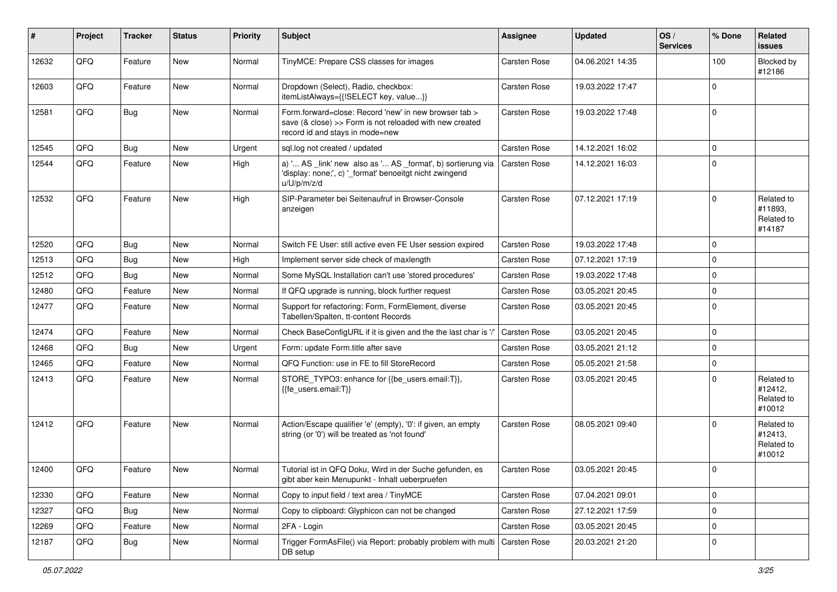| #     | Project | <b>Tracker</b> | <b>Status</b> | <b>Priority</b> | <b>Subject</b>                                                                                                                                      | Assignee            | <b>Updated</b>   | OS/<br><b>Services</b> | % Done      | Related<br><b>issues</b>                      |
|-------|---------|----------------|---------------|-----------------|-----------------------------------------------------------------------------------------------------------------------------------------------------|---------------------|------------------|------------------------|-------------|-----------------------------------------------|
| 12632 | QFQ     | Feature        | New           | Normal          | TinyMCE: Prepare CSS classes for images                                                                                                             | Carsten Rose        | 04.06.2021 14:35 |                        | 100         | Blocked by<br>#12186                          |
| 12603 | QFQ     | Feature        | New           | Normal          | Dropdown (Select), Radio, checkbox:<br>itemListAlways={{!SELECT key, value}}                                                                        | Carsten Rose        | 19.03.2022 17:47 |                        | $\mathbf 0$ |                                               |
| 12581 | QFQ     | <b>Bug</b>     | New           | Normal          | Form.forward=close: Record 'new' in new browser tab ><br>save (& close) >> Form is not reloaded with new created<br>record id and stays in mode=new | Carsten Rose        | 19.03.2022 17:48 |                        | $\mathbf 0$ |                                               |
| 12545 | QFQ     | <b>Bug</b>     | New           | Urgent          | sql.log not created / updated                                                                                                                       | Carsten Rose        | 14.12.2021 16:02 |                        | $\mathbf 0$ |                                               |
| 12544 | QFQ     | Feature        | New           | High            | a) ' AS _link' new also as ' AS _format', b) sortierung via<br>'display: none;', c) '_format' benoeitgt nicht zwingend<br>u/U/p/m/z/d               | Carsten Rose        | 14.12.2021 16:03 |                        | $\mathbf 0$ |                                               |
| 12532 | QFQ     | Feature        | New           | High            | SIP-Parameter bei Seitenaufruf in Browser-Console<br>anzeigen                                                                                       | Carsten Rose        | 07.12.2021 17:19 |                        | $\mathbf 0$ | Related to<br>#11893,<br>Related to<br>#14187 |
| 12520 | QFQ     | <b>Bug</b>     | New           | Normal          | Switch FE User: still active even FE User session expired                                                                                           | Carsten Rose        | 19.03.2022 17:48 |                        | $\mathbf 0$ |                                               |
| 12513 | QFQ     | <b>Bug</b>     | New           | High            | Implement server side check of maxlength                                                                                                            | Carsten Rose        | 07.12.2021 17:19 |                        | $\mathbf 0$ |                                               |
| 12512 | QFQ     | <b>Bug</b>     | New           | Normal          | Some MySQL Installation can't use 'stored procedures'                                                                                               | Carsten Rose        | 19.03.2022 17:48 |                        | $\mathbf 0$ |                                               |
| 12480 | QFG     | Feature        | New           | Normal          | If QFQ upgrade is running, block further request                                                                                                    | Carsten Rose        | 03.05.2021 20:45 |                        | $\mathbf 0$ |                                               |
| 12477 | QFQ     | Feature        | New           | Normal          | Support for refactoring: Form, FormElement, diverse<br>Tabellen/Spalten, tt-content Records                                                         | Carsten Rose        | 03.05.2021 20:45 |                        | $\mathbf 0$ |                                               |
| 12474 | QFQ     | Feature        | New           | Normal          | Check BaseConfigURL if it is given and the the last char is '/'                                                                                     | Carsten Rose        | 03.05.2021 20:45 |                        | $\Omega$    |                                               |
| 12468 | QFQ     | <b>Bug</b>     | New           | Urgent          | Form: update Form.title after save                                                                                                                  | Carsten Rose        | 03.05.2021 21:12 |                        | $\mathbf 0$ |                                               |
| 12465 | QFQ     | Feature        | New           | Normal          | QFQ Function: use in FE to fill StoreRecord                                                                                                         | Carsten Rose        | 05.05.2021 21:58 |                        | $\mathbf 0$ |                                               |
| 12413 | QFQ     | Feature        | New           | Normal          | STORE_TYPO3: enhance for {{be_users.email:T}},<br>{{fe_users.email:T}}                                                                              | Carsten Rose        | 03.05.2021 20:45 |                        | $\mathbf 0$ | Related to<br>#12412,<br>Related to<br>#10012 |
| 12412 | QFQ     | Feature        | New           | Normal          | Action/Escape qualifier 'e' (empty), '0': if given, an empty<br>string (or '0') will be treated as 'not found'                                      | Carsten Rose        | 08.05.2021 09:40 |                        | $\Omega$    | Related to<br>#12413,<br>Related to<br>#10012 |
| 12400 | QFQ     | Feature        | New           | Normal          | Tutorial ist in QFQ Doku, Wird in der Suche gefunden, es<br>gibt aber kein Menupunkt - Inhalt ueberpruefen                                          | <b>Carsten Rose</b> | 03.05.2021 20:45 |                        | $\Omega$    |                                               |
| 12330 | QFQ     | Feature        | New           | Normal          | Copy to input field / text area / TinyMCE                                                                                                           | Carsten Rose        | 07.04.2021 09:01 |                        | 0           |                                               |
| 12327 | QFQ     | <b>Bug</b>     | New           | Normal          | Copy to clipboard: Glyphicon can not be changed                                                                                                     | Carsten Rose        | 27.12.2021 17:59 |                        | $\mathbf 0$ |                                               |
| 12269 | QFQ     | Feature        | New           | Normal          | 2FA - Login                                                                                                                                         | Carsten Rose        | 03.05.2021 20:45 |                        | 0           |                                               |
| 12187 | QFQ     | <b>Bug</b>     | New           | Normal          | Trigger FormAsFile() via Report: probably problem with multi<br>DB setup                                                                            | Carsten Rose        | 20.03.2021 21:20 |                        | 0           |                                               |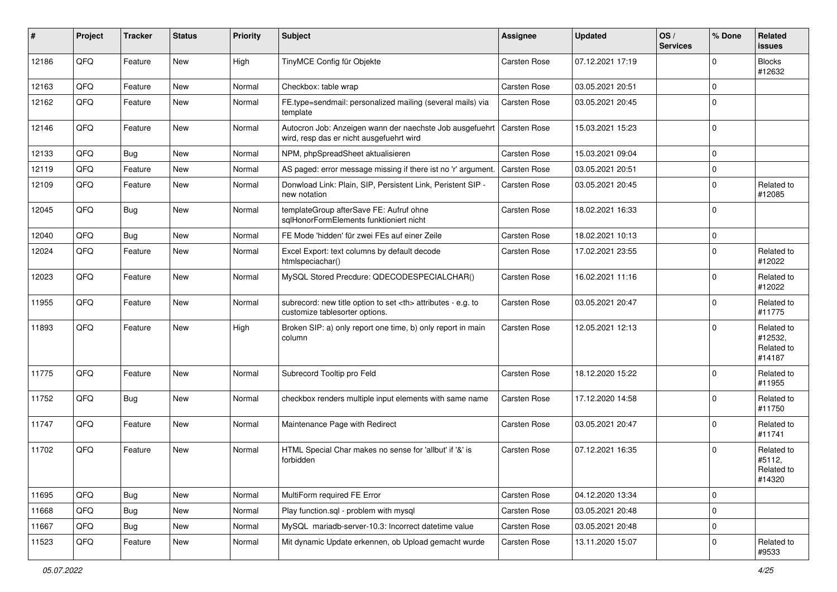| #     | Project | <b>Tracker</b> | <b>Status</b> | <b>Priority</b> | <b>Subject</b>                                                                                       | Assignee                                               | <b>Updated</b>   | OS/<br><b>Services</b> | % Done      | Related<br><b>issues</b>                      |                      |
|-------|---------|----------------|---------------|-----------------|------------------------------------------------------------------------------------------------------|--------------------------------------------------------|------------------|------------------------|-------------|-----------------------------------------------|----------------------|
| 12186 | QFQ     | Feature        | New           | High            | TinyMCE Config für Objekte                                                                           | Carsten Rose                                           | 07.12.2021 17:19 |                        | $\Omega$    | <b>Blocks</b><br>#12632                       |                      |
| 12163 | QFQ     | Feature        | New           | Normal          | Checkbox: table wrap                                                                                 | Carsten Rose                                           | 03.05.2021 20:51 |                        | $\Omega$    |                                               |                      |
| 12162 | QFQ     | Feature        | New           | Normal          | FE.type=sendmail: personalized mailing (several mails) via<br>template                               | Carsten Rose                                           | 03.05.2021 20:45 |                        | $\Omega$    |                                               |                      |
| 12146 | QFQ     | Feature        | New           | Normal          | Autocron Job: Anzeigen wann der naechste Job ausgefuehrt<br>wird, resp das er nicht ausgefuehrt wird | Carsten Rose                                           | 15.03.2021 15:23 |                        | $\mathbf 0$ |                                               |                      |
| 12133 | QFQ     | Bug            | New           | Normal          | NPM, phpSpreadSheet aktualisieren                                                                    | Carsten Rose                                           | 15.03.2021 09:04 |                        | $\Omega$    |                                               |                      |
| 12119 | QFQ     | Feature        | <b>New</b>    | Normal          | AS paged: error message missing if there ist no 'r' argument.                                        | Carsten Rose                                           | 03.05.2021 20:51 |                        | $\mathbf 0$ |                                               |                      |
| 12109 | QFQ     | Feature        | New           | Normal          | Donwload Link: Plain, SIP, Persistent Link, Peristent SIP -<br>new notation                          | Carsten Rose                                           | 03.05.2021 20:45 |                        | $\Omega$    | Related to<br>#12085                          |                      |
| 12045 | QFQ     | <b>Bug</b>     | New           | Normal          | templateGroup afterSave FE: Aufruf ohne<br>sglHonorFormElements funktioniert nicht                   | Carsten Rose                                           | 18.02.2021 16:33 |                        | $\Omega$    |                                               |                      |
| 12040 | QFQ     | Bug            | New           | Normal          | FE Mode 'hidden' für zwei FEs auf einer Zeile                                                        | Carsten Rose                                           | 18.02.2021 10:13 |                        | $\mathbf 0$ |                                               |                      |
| 12024 | QFQ     | Feature        | New           | Normal          | Excel Export: text columns by default decode<br>htmlspeciachar()                                     | Carsten Rose                                           | 17.02.2021 23:55 |                        | $\mathbf 0$ | Related to<br>#12022                          |                      |
| 12023 | QFQ     | Feature        | New           | Normal          | MySQL Stored Precdure: QDECODESPECIALCHAR()                                                          | Carsten Rose                                           | 16.02.2021 11:16 |                        | $\mathbf 0$ | Related to<br>#12022                          |                      |
| 11955 | QFQ     | Feature        | New           | Normal          | subrecord: new title option to set <th> attributes - e.g. to<br/>customize tablesorter options.</th> | attributes - e.g. to<br>customize tablesorter options. | Carsten Rose     | 03.05.2021 20:47       |             | $\Omega$                                      | Related to<br>#11775 |
| 11893 | QFQ     | Feature        | New           | High            | Broken SIP: a) only report one time, b) only report in main<br>column                                | Carsten Rose                                           | 12.05.2021 12:13 |                        | $\Omega$    | Related to<br>#12532,<br>Related to<br>#14187 |                      |
| 11775 | QFQ     | Feature        | New           | Normal          | Subrecord Tooltip pro Feld                                                                           | Carsten Rose                                           | 18.12.2020 15:22 |                        | $\mathbf 0$ | Related to<br>#11955                          |                      |
| 11752 | QFQ     | <b>Bug</b>     | <b>New</b>    | Normal          | checkbox renders multiple input elements with same name                                              | Carsten Rose                                           | 17.12.2020 14:58 |                        | $\mathbf 0$ | Related to<br>#11750                          |                      |
| 11747 | QFQ     | Feature        | New           | Normal          | Maintenance Page with Redirect                                                                       | Carsten Rose                                           | 03.05.2021 20:47 |                        | $\mathbf 0$ | Related to<br>#11741                          |                      |
| 11702 | QFQ     | Feature        | New           | Normal          | HTML Special Char makes no sense for 'allbut' if '&' is<br>forbidden                                 | Carsten Rose                                           | 07.12.2021 16:35 |                        | $\mathbf 0$ | Related to<br>#5112,<br>Related to<br>#14320  |                      |
| 11695 | QFQ     | <b>Bug</b>     | New           | Normal          | MultiForm required FE Error                                                                          | Carsten Rose                                           | 04.12.2020 13:34 |                        | $\mathbf 0$ |                                               |                      |
| 11668 | QFQ     | Bug            | New           | Normal          | Play function.sql - problem with mysql                                                               | Carsten Rose                                           | 03.05.2021 20:48 |                        | $\pmb{0}$   |                                               |                      |
| 11667 | QFQ     | <b>Bug</b>     | New           | Normal          | MySQL mariadb-server-10.3: Incorrect datetime value                                                  | Carsten Rose                                           | 03.05.2021 20:48 |                        | $\mathbf 0$ |                                               |                      |
| 11523 | QFQ     | Feature        | New           | Normal          | Mit dynamic Update erkennen, ob Upload gemacht wurde                                                 | Carsten Rose                                           | 13.11.2020 15:07 |                        | 0           | Related to<br>#9533                           |                      |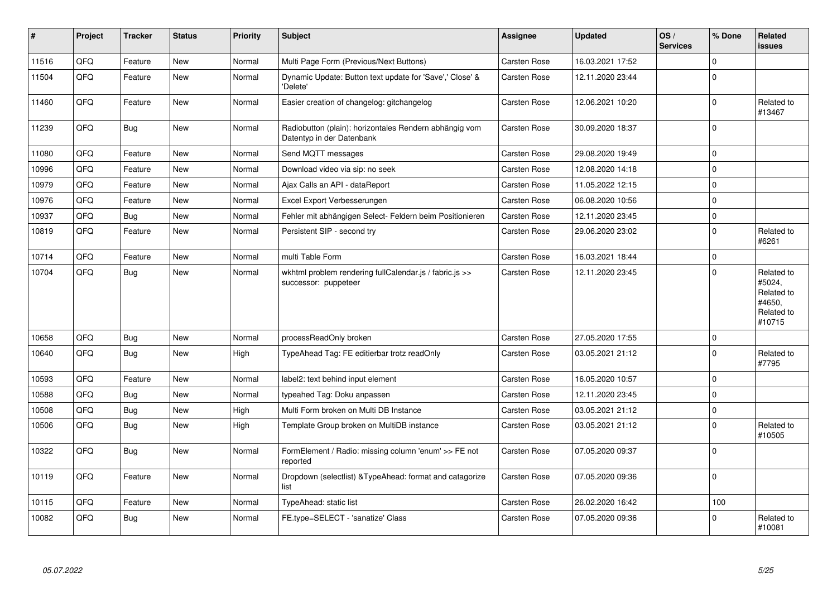| $\pmb{\#}$ | Project | <b>Tracker</b> | <b>Status</b> | <b>Priority</b> | <b>Subject</b>                                                                      | <b>Assignee</b>     | <b>Updated</b>   | OS/<br><b>Services</b> | % Done      | Related<br><b>issues</b>                                             |
|------------|---------|----------------|---------------|-----------------|-------------------------------------------------------------------------------------|---------------------|------------------|------------------------|-------------|----------------------------------------------------------------------|
| 11516      | QFQ     | Feature        | <b>New</b>    | Normal          | Multi Page Form (Previous/Next Buttons)                                             | Carsten Rose        | 16.03.2021 17:52 |                        | $\mathbf 0$ |                                                                      |
| 11504      | QFQ     | Feature        | New           | Normal          | Dynamic Update: Button text update for 'Save',' Close' &<br>'Delete'                | Carsten Rose        | 12.11.2020 23:44 |                        | $\mathbf 0$ |                                                                      |
| 11460      | QFQ     | Feature        | New           | Normal          | Easier creation of changelog: gitchangelog                                          | Carsten Rose        | 12.06.2021 10:20 |                        | $\mathbf 0$ | Related to<br>#13467                                                 |
| 11239      | QFQ     | Bug            | New           | Normal          | Radiobutton (plain): horizontales Rendern abhängig vom<br>Datentyp in der Datenbank | Carsten Rose        | 30.09.2020 18:37 |                        | $\Omega$    |                                                                      |
| 11080      | QFQ     | Feature        | New           | Normal          | Send MQTT messages                                                                  | Carsten Rose        | 29.08.2020 19:49 |                        | $\pmb{0}$   |                                                                      |
| 10996      | QFQ     | Feature        | New           | Normal          | Download video via sip: no seek                                                     | Carsten Rose        | 12.08.2020 14:18 |                        | $\mathbf 0$ |                                                                      |
| 10979      | QFQ     | Feature        | New           | Normal          | Ajax Calls an API - dataReport                                                      | Carsten Rose        | 11.05.2022 12:15 |                        | $\mathbf 0$ |                                                                      |
| 10976      | QFQ     | Feature        | <b>New</b>    | Normal          | Excel Export Verbesserungen                                                         | <b>Carsten Rose</b> | 06.08.2020 10:56 |                        | $\mathbf 0$ |                                                                      |
| 10937      | QFQ     | Bug            | New           | Normal          | Fehler mit abhängigen Select- Feldern beim Positionieren                            | Carsten Rose        | 12.11.2020 23:45 |                        | $\mathbf 0$ |                                                                      |
| 10819      | QFQ     | Feature        | New           | Normal          | Persistent SIP - second try                                                         | Carsten Rose        | 29.06.2020 23:02 |                        | $\mathbf 0$ | Related to<br>#6261                                                  |
| 10714      | QFQ     | Feature        | New           | Normal          | multi Table Form                                                                    | Carsten Rose        | 16.03.2021 18:44 |                        | $\mathbf 0$ |                                                                      |
| 10704      | QFQ     | Bug            | New           | Normal          | wkhtml problem rendering fullCalendar.js / fabric.js >><br>successor: puppeteer     | <b>Carsten Rose</b> | 12.11.2020 23:45 |                        | $\mathbf 0$ | Related to<br>#5024,<br>Related to<br>#4650,<br>Related to<br>#10715 |
| 10658      | QFQ     | <b>Bug</b>     | <b>New</b>    | Normal          | processReadOnly broken                                                              | <b>Carsten Rose</b> | 27.05.2020 17:55 |                        | $\Omega$    |                                                                      |
| 10640      | QFQ     | Bug            | New           | High            | TypeAhead Tag: FE editierbar trotz readOnly                                         | Carsten Rose        | 03.05.2021 21:12 |                        | $\mathbf 0$ | Related to<br>#7795                                                  |
| 10593      | QFQ     | Feature        | <b>New</b>    | Normal          | label2: text behind input element                                                   | Carsten Rose        | 16.05.2020 10:57 |                        | $\mathbf 0$ |                                                                      |
| 10588      | QFQ     | <b>Bug</b>     | New           | Normal          | typeahed Tag: Doku anpassen                                                         | Carsten Rose        | 12.11.2020 23:45 |                        | $\mathbf 0$ |                                                                      |
| 10508      | QFQ     | <b>Bug</b>     | New           | High            | Multi Form broken on Multi DB Instance                                              | Carsten Rose        | 03.05.2021 21:12 |                        | $\pmb{0}$   |                                                                      |
| 10506      | QFQ     | <b>Bug</b>     | New           | High            | Template Group broken on MultiDB instance                                           | <b>Carsten Rose</b> | 03.05.2021 21:12 |                        | $\mathbf 0$ | Related to<br>#10505                                                 |
| 10322      | QFQ     | Bug            | New           | Normal          | FormElement / Radio: missing column 'enum' >> FE not<br>reported                    | Carsten Rose        | 07.05.2020 09:37 |                        | $\mathbf 0$ |                                                                      |
| 10119      | QFQ     | Feature        | New           | Normal          | Dropdown (selectlist) & TypeAhead: format and catagorize<br>list                    | <b>Carsten Rose</b> | 07.05.2020 09:36 |                        | $\Omega$    |                                                                      |
| 10115      | QFQ     | Feature        | New           | Normal          | TypeAhead: static list                                                              | Carsten Rose        | 26.02.2020 16:42 |                        | 100         |                                                                      |
| 10082      | QFQ     | <b>Bug</b>     | <b>New</b>    | Normal          | FE.type=SELECT - 'sanatize' Class                                                   | Carsten Rose        | 07.05.2020 09:36 |                        | $\Omega$    | Related to<br>#10081                                                 |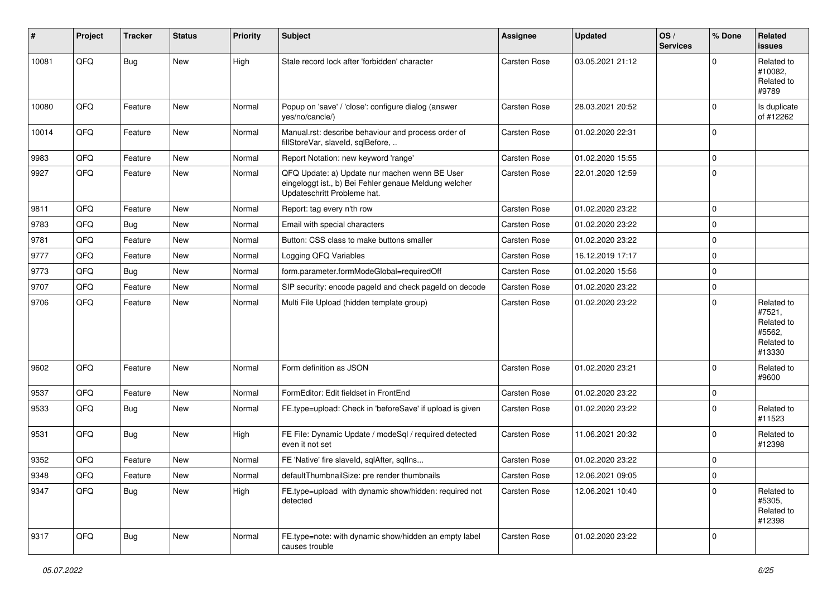| $\sharp$ | Project | <b>Tracker</b> | <b>Status</b> | <b>Priority</b> | <b>Subject</b>                                                                                                                        | <b>Assignee</b> | <b>Updated</b>   | OS/<br><b>Services</b> | % Done      | Related<br><b>issues</b>                                             |
|----------|---------|----------------|---------------|-----------------|---------------------------------------------------------------------------------------------------------------------------------------|-----------------|------------------|------------------------|-------------|----------------------------------------------------------------------|
| 10081    | QFQ     | <b>Bug</b>     | New           | High            | Stale record lock after 'forbidden' character                                                                                         | Carsten Rose    | 03.05.2021 21:12 |                        | $\Omega$    | Related to<br>#10082,<br>Related to<br>#9789                         |
| 10080    | QFQ     | Feature        | New           | Normal          | Popup on 'save' / 'close': configure dialog (answer<br>yes/no/cancle/)                                                                | Carsten Rose    | 28.03.2021 20:52 |                        | $\Omega$    | Is duplicate<br>of #12262                                            |
| 10014    | QFQ     | Feature        | New           | Normal          | Manual.rst: describe behaviour and process order of<br>fillStoreVar, slaveId, sqlBefore,                                              | Carsten Rose    | 01.02.2020 22:31 |                        | $\Omega$    |                                                                      |
| 9983     | QFQ     | Feature        | New           | Normal          | Report Notation: new keyword 'range'                                                                                                  | Carsten Rose    | 01.02.2020 15:55 |                        | $\Omega$    |                                                                      |
| 9927     | QFQ     | Feature        | New           | Normal          | QFQ Update: a) Update nur machen wenn BE User<br>eingeloggt ist., b) Bei Fehler genaue Meldung welcher<br>Updateschritt Probleme hat. | Carsten Rose    | 22.01.2020 12:59 |                        | $\Omega$    |                                                                      |
| 9811     | QFQ     | Feature        | New           | Normal          | Report: tag every n'th row                                                                                                            | Carsten Rose    | 01.02.2020 23:22 |                        | $\Omega$    |                                                                      |
| 9783     | QFQ     | <b>Bug</b>     | New           | Normal          | Email with special characters                                                                                                         | Carsten Rose    | 01.02.2020 23:22 |                        | $\Omega$    |                                                                      |
| 9781     | QFQ     | Feature        | New           | Normal          | Button: CSS class to make buttons smaller                                                                                             | Carsten Rose    | 01.02.2020 23:22 |                        | $\Omega$    |                                                                      |
| 9777     | QFQ     | Feature        | New           | Normal          | Logging QFQ Variables                                                                                                                 | Carsten Rose    | 16.12.2019 17:17 |                        | $\Omega$    |                                                                      |
| 9773     | QFQ     | <b>Bug</b>     | New           | Normal          | form.parameter.formModeGlobal=requiredOff                                                                                             | Carsten Rose    | 01.02.2020 15:56 |                        | $\Omega$    |                                                                      |
| 9707     | QFQ     | Feature        | New           | Normal          | SIP security: encode pageld and check pageld on decode                                                                                | Carsten Rose    | 01.02.2020 23:22 |                        | 0           |                                                                      |
| 9706     | QFQ     | Feature        | New           | Normal          | Multi File Upload (hidden template group)                                                                                             | Carsten Rose    | 01.02.2020 23:22 |                        | $\Omega$    | Related to<br>#7521,<br>Related to<br>#5562,<br>Related to<br>#13330 |
| 9602     | QFQ     | Feature        | New           | Normal          | Form definition as JSON                                                                                                               | Carsten Rose    | 01.02.2020 23:21 |                        | $\Omega$    | Related to<br>#9600                                                  |
| 9537     | QFQ     | Feature        | New           | Normal          | FormEditor: Edit fieldset in FrontEnd                                                                                                 | Carsten Rose    | 01.02.2020 23:22 |                        | $\mathbf 0$ |                                                                      |
| 9533     | QFQ     | <b>Bug</b>     | New           | Normal          | FE.type=upload: Check in 'beforeSave' if upload is given                                                                              | Carsten Rose    | 01.02.2020 23:22 |                        | $\Omega$    | Related to<br>#11523                                                 |
| 9531     | QFQ     | <b>Bug</b>     | New           | High            | FE File: Dynamic Update / modeSql / required detected<br>even it not set                                                              | Carsten Rose    | 11.06.2021 20:32 |                        | $\Omega$    | Related to<br>#12398                                                 |
| 9352     | QFQ     | Feature        | New           | Normal          | FE 'Native' fire slaveld, sqlAfter, sqlIns                                                                                            | Carsten Rose    | 01.02.2020 23:22 |                        | $\mathbf 0$ |                                                                      |
| 9348     | QFQ     | Feature        | New           | Normal          | defaultThumbnailSize: pre render thumbnails                                                                                           | Carsten Rose    | 12.06.2021 09:05 |                        | 0           |                                                                      |
| 9347     | QFQ     | <b>Bug</b>     | New           | High            | FE.type=upload with dynamic show/hidden: required not<br>detected                                                                     | Carsten Rose    | 12.06.2021 10:40 |                        | $\mathbf 0$ | Related to<br>#5305,<br>Related to<br>#12398                         |
| 9317     | QFQ     | <b>Bug</b>     | New           | Normal          | FE.type=note: with dynamic show/hidden an empty label<br>causes trouble                                                               | Carsten Rose    | 01.02.2020 23:22 |                        | 0           |                                                                      |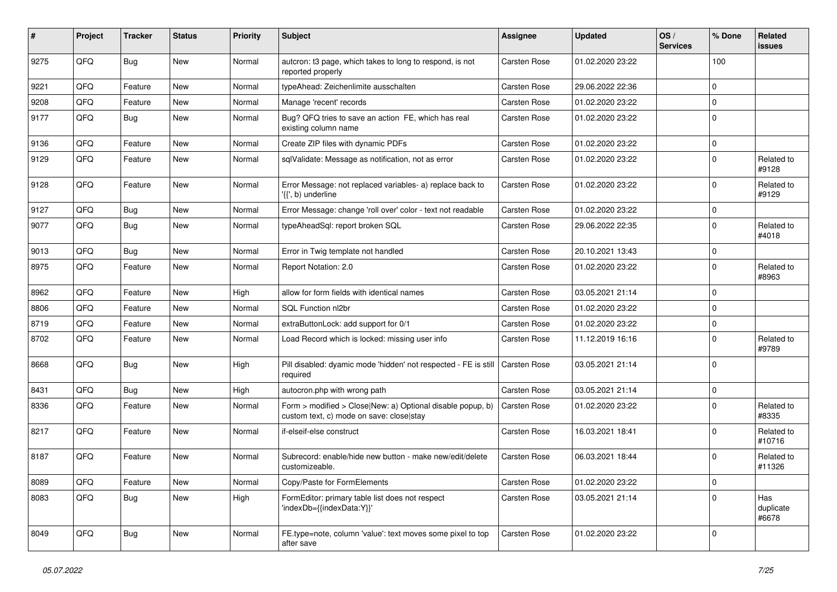| #    | Project | <b>Tracker</b> | <b>Status</b> | <b>Priority</b> | <b>Subject</b>                                                                                         | <b>Assignee</b> | <b>Updated</b>   | OS/<br><b>Services</b> | % Done              | Related<br><b>issues</b>  |
|------|---------|----------------|---------------|-----------------|--------------------------------------------------------------------------------------------------------|-----------------|------------------|------------------------|---------------------|---------------------------|
| 9275 | QFQ     | Bug            | <b>New</b>    | Normal          | autcron: t3 page, which takes to long to respond, is not<br>reported properly                          | Carsten Rose    | 01.02.2020 23:22 |                        | 100                 |                           |
| 9221 | QFQ     | Feature        | <b>New</b>    | Normal          | typeAhead: Zeichenlimite ausschalten                                                                   | Carsten Rose    | 29.06.2022 22:36 |                        | $\Omega$            |                           |
| 9208 | QFQ     | Feature        | New           | Normal          | Manage 'recent' records                                                                                | Carsten Rose    | 01.02.2020 23:22 |                        | $\mathbf 0$         |                           |
| 9177 | QFQ     | Bug            | <b>New</b>    | Normal          | Bug? QFQ tries to save an action FE, which has real<br>existing column name                            | Carsten Rose    | 01.02.2020 23:22 |                        | $\Omega$            |                           |
| 9136 | QFQ     | Feature        | <b>New</b>    | Normal          | Create ZIP files with dynamic PDFs                                                                     | Carsten Rose    | 01.02.2020 23:22 |                        | $\pmb{0}$           |                           |
| 9129 | QFQ     | Feature        | New           | Normal          | sqlValidate: Message as notification, not as error                                                     | Carsten Rose    | 01.02.2020 23:22 |                        | $\Omega$            | Related to<br>#9128       |
| 9128 | QFQ     | Feature        | <b>New</b>    | Normal          | Error Message: not replaced variables- a) replace back to<br>'{{', b) underline                        | Carsten Rose    | 01.02.2020 23:22 |                        | $\Omega$            | Related to<br>#9129       |
| 9127 | QFQ     | <b>Bug</b>     | <b>New</b>    | Normal          | Error Message: change 'roll over' color - text not readable                                            | Carsten Rose    | 01.02.2020 23:22 |                        | $\mathbf 0$         |                           |
| 9077 | QFQ     | <b>Bug</b>     | <b>New</b>    | Normal          | typeAheadSql: report broken SQL                                                                        | Carsten Rose    | 29.06.2022 22:35 |                        | $\Omega$            | Related to<br>#4018       |
| 9013 | QFQ     | <b>Bug</b>     | <b>New</b>    | Normal          | Error in Twig template not handled                                                                     | Carsten Rose    | 20.10.2021 13:43 |                        | 0                   |                           |
| 8975 | QFQ     | Feature        | <b>New</b>    | Normal          | Report Notation: 2.0                                                                                   | Carsten Rose    | 01.02.2020 23:22 |                        | $\Omega$            | Related to<br>#8963       |
| 8962 | QFQ     | Feature        | <b>New</b>    | High            | allow for form fields with identical names                                                             | Carsten Rose    | 03.05.2021 21:14 |                        | $\mathbf 0$         |                           |
| 8806 | QFQ     | Feature        | New           | Normal          | <b>SQL Function nl2br</b>                                                                              | Carsten Rose    | 01.02.2020 23:22 |                        | $\Omega$            |                           |
| 8719 | QFQ     | Feature        | <b>New</b>    | Normal          | extraButtonLock: add support for 0/1                                                                   | Carsten Rose    | 01.02.2020 23:22 |                        | $\mathbf 0$         |                           |
| 8702 | QFQ     | Feature        | <b>New</b>    | Normal          | Load Record which is locked: missing user info                                                         | Carsten Rose    | 11.12.2019 16:16 |                        | $\Omega$            | Related to<br>#9789       |
| 8668 | QFQ     | <b>Bug</b>     | <b>New</b>    | High            | Pill disabled: dyamic mode 'hidden' not respected - FE is still<br>required                            | Carsten Rose    | 03.05.2021 21:14 |                        | $\Omega$            |                           |
| 8431 | QFQ     | Bug            | New           | High            | autocron.php with wrong path                                                                           | Carsten Rose    | 03.05.2021 21:14 |                        | $\mathbf 0$         |                           |
| 8336 | QFQ     | Feature        | <b>New</b>    | Normal          | Form > modified > Close New: a) Optional disable popup, b)<br>custom text, c) mode on save: close stay | Carsten Rose    | 01.02.2020 23:22 |                        | $\mathbf 0$         | Related to<br>#8335       |
| 8217 | QFQ     | Feature        | <b>New</b>    | Normal          | if-elseif-else construct                                                                               | Carsten Rose    | 16.03.2021 18:41 |                        | $\Omega$            | Related to<br>#10716      |
| 8187 | QFQ     | Feature        | New           | Normal          | Subrecord: enable/hide new button - make new/edit/delete<br>customizeable.                             | Carsten Rose    | 06.03.2021 18:44 |                        | $\Omega$            | Related to<br>#11326      |
| 8089 | QFQ     | Feature        | New           | Normal          | Copy/Paste for FormElements                                                                            | Carsten Rose    | 01.02.2020 23:22 |                        | $\mathsf{O}\xspace$ |                           |
| 8083 | QFQ     | Bug            | New           | High            | FormEditor: primary table list does not respect<br>'indexDb={{indexData:Y}}'                           | Carsten Rose    | 03.05.2021 21:14 |                        | $\mathbf 0$         | Has<br>duplicate<br>#6678 |
| 8049 | QFQ     | <b>Bug</b>     | New           | Normal          | FE.type=note, column 'value': text moves some pixel to top<br>after save                               | Carsten Rose    | 01.02.2020 23:22 |                        | $\mathbf 0$         |                           |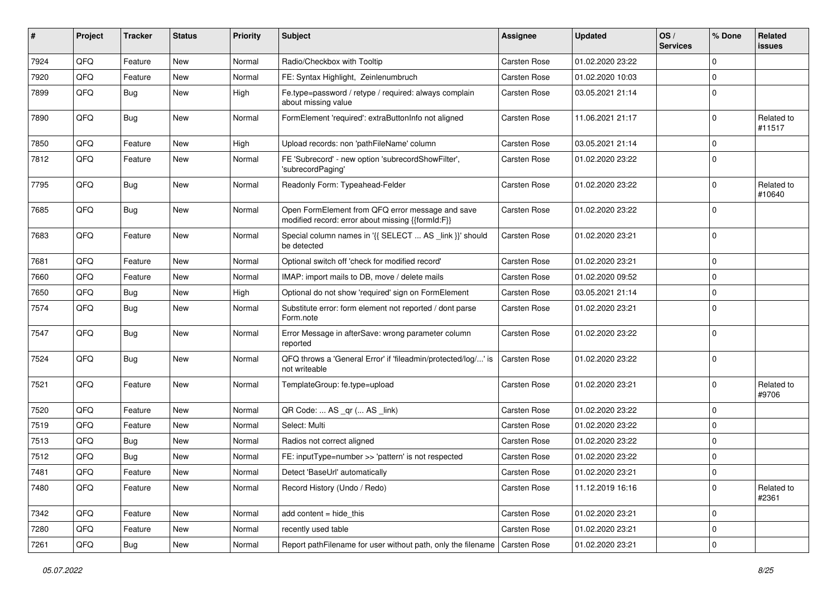| #    | Project | <b>Tracker</b> | <b>Status</b> | <b>Priority</b> | <b>Subject</b>                                                                                        | Assignee            | <b>Updated</b>   | OS/<br><b>Services</b> | % Done       | Related<br><b>issues</b> |
|------|---------|----------------|---------------|-----------------|-------------------------------------------------------------------------------------------------------|---------------------|------------------|------------------------|--------------|--------------------------|
| 7924 | QFQ     | Feature        | New           | Normal          | Radio/Checkbox with Tooltip                                                                           | Carsten Rose        | 01.02.2020 23:22 |                        | $\mathbf{0}$ |                          |
| 7920 | QFQ     | Feature        | New           | Normal          | FE: Syntax Highlight, Zeinlenumbruch                                                                  | Carsten Rose        | 01.02.2020 10:03 |                        | $\mathbf 0$  |                          |
| 7899 | QFQ     | Bug            | New           | High            | Fe.type=password / retype / required: always complain<br>about missing value                          | Carsten Rose        | 03.05.2021 21:14 |                        | $\mathbf 0$  |                          |
| 7890 | QFQ     | <b>Bug</b>     | New           | Normal          | FormElement 'required': extraButtonInfo not aligned                                                   | Carsten Rose        | 11.06.2021 21:17 |                        | $\mathbf 0$  | Related to<br>#11517     |
| 7850 | QFQ     | Feature        | New           | High            | Upload records: non 'pathFileName' column                                                             | <b>Carsten Rose</b> | 03.05.2021 21:14 |                        | $\mathbf 0$  |                          |
| 7812 | QFQ     | Feature        | New           | Normal          | FE 'Subrecord' - new option 'subrecordShowFilter',<br>'subrecordPaging'                               | Carsten Rose        | 01.02.2020 23:22 |                        | $\mathbf 0$  |                          |
| 7795 | QFQ     | Bug            | New           | Normal          | Readonly Form: Typeahead-Felder                                                                       | Carsten Rose        | 01.02.2020 23:22 |                        | $\mathbf 0$  | Related to<br>#10640     |
| 7685 | QFQ     | <b>Bug</b>     | New           | Normal          | Open FormElement from QFQ error message and save<br>modified record: error about missing {{formId:F}} | Carsten Rose        | 01.02.2020 23:22 |                        | $\mathbf 0$  |                          |
| 7683 | QFQ     | Feature        | New           | Normal          | Special column names in '{{ SELECT  AS _link }}' should<br>be detected                                | Carsten Rose        | 01.02.2020 23:21 |                        | $\mathbf 0$  |                          |
| 7681 | QFQ     | Feature        | New           | Normal          | Optional switch off 'check for modified record'                                                       | Carsten Rose        | 01.02.2020 23:21 |                        | $\mathbf 0$  |                          |
| 7660 | QFQ     | Feature        | New           | Normal          | IMAP: import mails to DB, move / delete mails                                                         | Carsten Rose        | 01.02.2020 09:52 |                        | $\mathbf 0$  |                          |
| 7650 | QFQ     | <b>Bug</b>     | New           | High            | Optional do not show 'required' sign on FormElement                                                   | Carsten Rose        | 03.05.2021 21:14 |                        | $\mathbf 0$  |                          |
| 7574 | QFQ     | Bug            | New           | Normal          | Substitute error: form element not reported / dont parse<br>Form.note                                 | Carsten Rose        | 01.02.2020 23:21 |                        | $\mathbf 0$  |                          |
| 7547 | QFQ     | Bug            | New           | Normal          | Error Message in afterSave: wrong parameter column<br>reported                                        | Carsten Rose        | 01.02.2020 23:22 |                        | $\mathbf 0$  |                          |
| 7524 | QFQ     | <b>Bug</b>     | New           | Normal          | QFQ throws a 'General Error' if 'fileadmin/protected/log/' is<br>not writeable                        | Carsten Rose        | 01.02.2020 23:22 |                        | $\mathbf 0$  |                          |
| 7521 | QFQ     | Feature        | New           | Normal          | TemplateGroup: fe.type=upload                                                                         | Carsten Rose        | 01.02.2020 23:21 |                        | $\mathbf 0$  | Related to<br>#9706      |
| 7520 | QFQ     | Feature        | New           | Normal          | QR Code:  AS _qr ( AS _link)                                                                          | Carsten Rose        | 01.02.2020 23:22 |                        | $\mathbf 0$  |                          |
| 7519 | QFQ     | Feature        | New           | Normal          | Select: Multi                                                                                         | Carsten Rose        | 01.02.2020 23:22 |                        | $\mathbf 0$  |                          |
| 7513 | QFQ     | Bug            | New           | Normal          | Radios not correct aligned                                                                            | Carsten Rose        | 01.02.2020 23:22 |                        | $\mathbf 0$  |                          |
| 7512 | QFQ     | <b>Bug</b>     | New           | Normal          | FE: inputType=number >> 'pattern' is not respected                                                    | Carsten Rose        | 01.02.2020 23:22 |                        | $\mathbf 0$  |                          |
| 7481 | QFQ     | Feature        | New           | Normal          | Detect 'BaseUrl' automatically                                                                        | Carsten Rose        | 01.02.2020 23:21 |                        | $\mathbf 0$  |                          |
| 7480 | QFQ     | Feature        | New           | Normal          | Record History (Undo / Redo)                                                                          | Carsten Rose        | 11.12.2019 16:16 |                        | $\mathbf 0$  | Related to<br>#2361      |
| 7342 | QFQ     | Feature        | New           | Normal          | add content $=$ hide this                                                                             | Carsten Rose        | 01.02.2020 23:21 |                        | $\mathbf 0$  |                          |
| 7280 | QFQ     | Feature        | New           | Normal          | recently used table                                                                                   | Carsten Rose        | 01.02.2020 23:21 |                        | $\mathbf 0$  |                          |
| 7261 | QFQ     | Bug            | New           | Normal          | Report pathFilename for user without path, only the filename                                          | Carsten Rose        | 01.02.2020 23:21 |                        | $\mathbf 0$  |                          |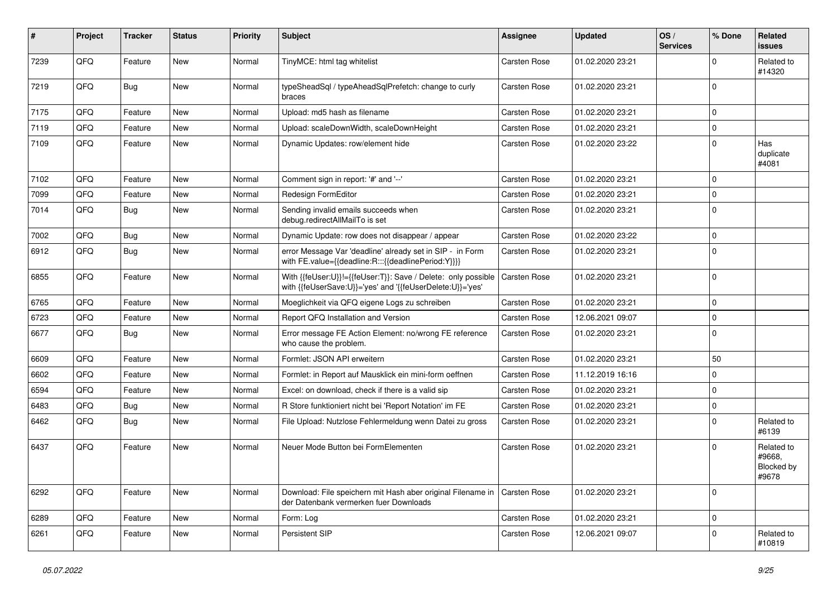| #    | Project | <b>Tracker</b> | <b>Status</b> | <b>Priority</b> | <b>Subject</b>                                                                                                             | <b>Assignee</b>     | <b>Updated</b>   | OS/<br><b>Services</b> | % Done      | Related<br><b>issues</b>                    |
|------|---------|----------------|---------------|-----------------|----------------------------------------------------------------------------------------------------------------------------|---------------------|------------------|------------------------|-------------|---------------------------------------------|
| 7239 | QFQ     | Feature        | <b>New</b>    | Normal          | TinyMCE: html tag whitelist                                                                                                | Carsten Rose        | 01.02.2020 23:21 |                        | $\mathbf 0$ | Related to<br>#14320                        |
| 7219 | QFQ     | Bug            | <b>New</b>    | Normal          | typeSheadSql / typeAheadSqlPrefetch: change to curly<br>braces                                                             | <b>Carsten Rose</b> | 01.02.2020 23:21 |                        | $\mathbf 0$ |                                             |
| 7175 | QFQ     | Feature        | New           | Normal          | Upload: md5 hash as filename                                                                                               | Carsten Rose        | 01.02.2020 23:21 |                        | $\Omega$    |                                             |
| 7119 | QFQ     | Feature        | <b>New</b>    | Normal          | Upload: scaleDownWidth, scaleDownHeight                                                                                    | <b>Carsten Rose</b> | 01.02.2020 23:21 |                        | $\mathbf 0$ |                                             |
| 7109 | QFQ     | Feature        | New           | Normal          | Dynamic Updates: row/element hide                                                                                          | Carsten Rose        | 01.02.2020 23:22 |                        | $\Omega$    | Has<br>duplicate<br>#4081                   |
| 7102 | QFQ     | Feature        | <b>New</b>    | Normal          | Comment sign in report: '#' and '--'                                                                                       | <b>Carsten Rose</b> | 01.02.2020 23:21 |                        | $\mathbf 0$ |                                             |
| 7099 | QFQ     | Feature        | New           | Normal          | Redesign FormEditor                                                                                                        | <b>Carsten Rose</b> | 01.02.2020 23:21 |                        | $\mathbf 0$ |                                             |
| 7014 | QFQ     | <b>Bug</b>     | New           | Normal          | Sending invalid emails succeeds when<br>debug.redirectAllMailTo is set                                                     | <b>Carsten Rose</b> | 01.02.2020 23:21 |                        | $\mathbf 0$ |                                             |
| 7002 | QFQ     | <b>Bug</b>     | <b>New</b>    | Normal          | Dynamic Update: row does not disappear / appear                                                                            | Carsten Rose        | 01.02.2020 23:22 |                        | $\mathbf 0$ |                                             |
| 6912 | QFQ     | <b>Bug</b>     | New           | Normal          | error Message Var 'deadline' already set in SIP - in Form<br>with FE.value={{deadline:R:::{{deadlinePeriod:Y}}}}           | Carsten Rose        | 01.02.2020 23:21 |                        | $\Omega$    |                                             |
| 6855 | QFQ     | Feature        | <b>New</b>    | Normal          | With {{feUser:U}}!={{feUser:T}}: Save / Delete: only possible<br>with {{feUserSave:U}}='yes' and '{{feUserDelete:U}}='yes' | <b>Carsten Rose</b> | 01.02.2020 23:21 |                        | $\mathbf 0$ |                                             |
| 6765 | QFQ     | Feature        | <b>New</b>    | Normal          | Moeglichkeit via QFQ eigene Logs zu schreiben                                                                              | <b>Carsten Rose</b> | 01.02.2020 23:21 |                        | $\mathbf 0$ |                                             |
| 6723 | QFQ     | Feature        | <b>New</b>    | Normal          | Report QFQ Installation and Version                                                                                        | <b>Carsten Rose</b> | 12.06.2021 09:07 |                        | $\mathbf 0$ |                                             |
| 6677 | QFQ     | Bug            | <b>New</b>    | Normal          | Error message FE Action Element: no/wrong FE reference<br>who cause the problem.                                           | <b>Carsten Rose</b> | 01.02.2020 23:21 |                        | $\mathbf 0$ |                                             |
| 6609 | OFQ     | Feature        | New           | Normal          | Formlet: JSON API erweitern                                                                                                | <b>Carsten Rose</b> | 01.02.2020 23:21 |                        | 50          |                                             |
| 6602 | QFQ     | Feature        | <b>New</b>    | Normal          | Formlet: in Report auf Mausklick ein mini-form oeffnen                                                                     | Carsten Rose        | 11.12.2019 16:16 |                        | $\mathbf 0$ |                                             |
| 6594 | QFQ     | Feature        | New           | Normal          | Excel: on download, check if there is a valid sip                                                                          | Carsten Rose        | 01.02.2020 23:21 |                        | $\mathbf 0$ |                                             |
| 6483 | QFQ     | <b>Bug</b>     | New           | Normal          | R Store funktioniert nicht bei 'Report Notation' im FE                                                                     | Carsten Rose        | 01.02.2020 23:21 |                        | $\mathbf 0$ |                                             |
| 6462 | QFQ     | <b>Bug</b>     | New           | Normal          | File Upload: Nutzlose Fehlermeldung wenn Datei zu gross                                                                    | Carsten Rose        | 01.02.2020 23:21 |                        | $\Omega$    | Related to<br>#6139                         |
| 6437 | QFQ     | Feature        | <b>New</b>    | Normal          | Neuer Mode Button bei FormElementen                                                                                        | Carsten Rose        | 01.02.2020 23:21 |                        | $\Omega$    | Related to<br>#9668,<br>Blocked by<br>#9678 |
| 6292 | QFQ     | Feature        | <b>New</b>    | Normal          | Download: File speichern mit Hash aber original Filename in<br>der Datenbank vermerken fuer Downloads                      | Carsten Rose        | 01.02.2020 23:21 |                        | $\Omega$    |                                             |
| 6289 | QFQ     | Feature        | <b>New</b>    | Normal          | Form: Log                                                                                                                  | <b>Carsten Rose</b> | 01.02.2020 23:21 |                        | $\mathbf 0$ |                                             |
| 6261 | QFQ     | Feature        | New           | Normal          | Persistent SIP                                                                                                             | Carsten Rose        | 12.06.2021 09:07 |                        | $\Omega$    | Related to<br>#10819                        |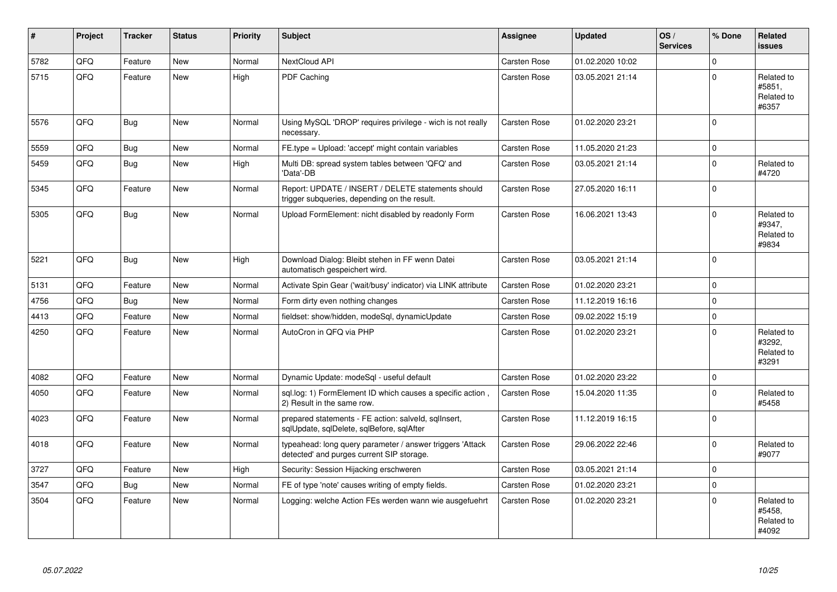| #    | Project | <b>Tracker</b> | <b>Status</b> | <b>Priority</b> | <b>Subject</b>                                                                                         | <b>Assignee</b>     | <b>Updated</b>   | OS/<br><b>Services</b> | % Done      | Related<br><b>issues</b>                    |
|------|---------|----------------|---------------|-----------------|--------------------------------------------------------------------------------------------------------|---------------------|------------------|------------------------|-------------|---------------------------------------------|
| 5782 | QFQ     | Feature        | <b>New</b>    | Normal          | NextCloud API                                                                                          | Carsten Rose        | 01.02.2020 10:02 |                        | $\Omega$    |                                             |
| 5715 | QFQ     | Feature        | New           | High            | PDF Caching                                                                                            | Carsten Rose        | 03.05.2021 21:14 |                        | $\Omega$    | Related to<br>#5851,<br>Related to<br>#6357 |
| 5576 | QFQ     | <b>Bug</b>     | <b>New</b>    | Normal          | Using MySQL 'DROP' requires privilege - wich is not really<br>necessary.                               | Carsten Rose        | 01.02.2020 23:21 |                        | $\Omega$    |                                             |
| 5559 | QFQ     | <b>Bug</b>     | <b>New</b>    | Normal          | FE.type = Upload: 'accept' might contain variables                                                     | Carsten Rose        | 11.05.2020 21:23 |                        | $\mathbf 0$ |                                             |
| 5459 | QFQ     | Bug            | <b>New</b>    | High            | Multi DB: spread system tables between 'QFQ' and<br>'Data'-DB                                          | Carsten Rose        | 03.05.2021 21:14 |                        | $\mathbf 0$ | Related to<br>#4720                         |
| 5345 | QFQ     | Feature        | <b>New</b>    | Normal          | Report: UPDATE / INSERT / DELETE statements should<br>trigger subqueries, depending on the result.     | Carsten Rose        | 27.05.2020 16:11 |                        | $\mathbf 0$ |                                             |
| 5305 | QFQ     | Bug            | New           | Normal          | Upload FormElement: nicht disabled by readonly Form                                                    | <b>Carsten Rose</b> | 16.06.2021 13:43 |                        | $\Omega$    | Related to<br>#9347,<br>Related to<br>#9834 |
| 5221 | QFQ     | Bug            | <b>New</b>    | High            | Download Dialog: Bleibt stehen in FF wenn Datei<br>automatisch gespeichert wird.                       | Carsten Rose        | 03.05.2021 21:14 |                        | $\Omega$    |                                             |
| 5131 | QFQ     | Feature        | New           | Normal          | Activate Spin Gear ('wait/busy' indicator) via LINK attribute                                          | <b>Carsten Rose</b> | 01.02.2020 23:21 |                        | $\mathbf 0$ |                                             |
| 4756 | QFQ     | <b>Bug</b>     | New           | Normal          | Form dirty even nothing changes                                                                        | Carsten Rose        | 11.12.2019 16:16 |                        | $\mathbf 0$ |                                             |
| 4413 | QFQ     | Feature        | New           | Normal          | fieldset: show/hidden, modeSql, dynamicUpdate                                                          | Carsten Rose        | 09.02.2022 15:19 |                        | $\mathbf 0$ |                                             |
| 4250 | QFQ     | Feature        | New           | Normal          | AutoCron in QFQ via PHP                                                                                | <b>Carsten Rose</b> | 01.02.2020 23:21 |                        | $\mathbf 0$ | Related to<br>#3292,<br>Related to<br>#3291 |
| 4082 | QFQ     | Feature        | <b>New</b>    | Normal          | Dynamic Update: modeSql - useful default                                                               | Carsten Rose        | 01.02.2020 23:22 |                        | $\Omega$    |                                             |
| 4050 | QFQ     | Feature        | New           | Normal          | sql.log: 1) FormElement ID which causes a specific action,<br>2) Result in the same row.               | <b>Carsten Rose</b> | 15.04.2020 11:35 |                        | $\Omega$    | Related to<br>#5458                         |
| 4023 | QFQ     | Feature        | <b>New</b>    | Normal          | prepared statements - FE action: salveld, sglInsert,<br>sqlUpdate, sqlDelete, sqlBefore, sqlAfter      | Carsten Rose        | 11.12.2019 16:15 |                        | $\Omega$    |                                             |
| 4018 | QFQ     | Feature        | New           | Normal          | typeahead: long query parameter / answer triggers 'Attack<br>detected' and purges current SIP storage. | Carsten Rose        | 29.06.2022 22:46 |                        | $\Omega$    | Related to<br>#9077                         |
| 3727 | QFQ     | Feature        | New           | High            | Security: Session Hijacking erschweren                                                                 | <b>Carsten Rose</b> | 03.05.2021 21:14 |                        | $\mathbf 0$ |                                             |
| 3547 | QFQ     | Bug            | New           | Normal          | FE of type 'note' causes writing of empty fields.                                                      | Carsten Rose        | 01.02.2020 23:21 |                        | $\mathbf 0$ |                                             |
| 3504 | QFQ     | Feature        | New           | Normal          | Logging: welche Action FEs werden wann wie ausgefuehrt                                                 | Carsten Rose        | 01.02.2020 23:21 |                        | $\Omega$    | Related to<br>#5458,<br>Related to<br>#4092 |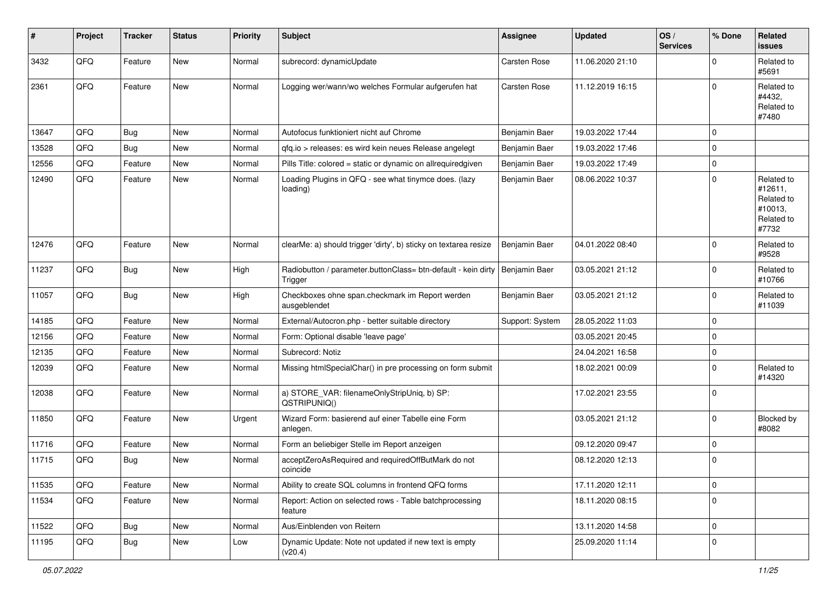| $\sharp$ | Project | <b>Tracker</b> | <b>Status</b> | <b>Priority</b> | <b>Subject</b>                                                           | <b>Assignee</b> | <b>Updated</b>   | OS/<br><b>Services</b> | % Done      | Related<br><b>issues</b>                                              |
|----------|---------|----------------|---------------|-----------------|--------------------------------------------------------------------------|-----------------|------------------|------------------------|-------------|-----------------------------------------------------------------------|
| 3432     | QFQ     | Feature        | <b>New</b>    | Normal          | subrecord: dynamicUpdate                                                 | Carsten Rose    | 11.06.2020 21:10 |                        | $\Omega$    | Related to<br>#5691                                                   |
| 2361     | QFQ     | Feature        | New           | Normal          | Logging wer/wann/wo welches Formular aufgerufen hat                      | Carsten Rose    | 11.12.2019 16:15 |                        | $\mathbf 0$ | Related to<br>#4432,<br>Related to<br>#7480                           |
| 13647    | QFQ     | <b>Bug</b>     | <b>New</b>    | Normal          | Autofocus funktioniert nicht auf Chrome                                  | Benjamin Baer   | 19.03.2022 17:44 |                        | $\mathbf 0$ |                                                                       |
| 13528    | QFQ     | <b>Bug</b>     | <b>New</b>    | Normal          | gfg.io > releases: es wird kein neues Release angelegt                   | Benjamin Baer   | 19.03.2022 17:46 |                        | $\Omega$    |                                                                       |
| 12556    | QFQ     | Feature        | <b>New</b>    | Normal          | Pills Title: colored = static or dynamic on allrequiredgiven             | Benjamin Baer   | 19.03.2022 17:49 |                        | $\Omega$    |                                                                       |
| 12490    | QFQ     | Feature        | New           | Normal          | Loading Plugins in QFQ - see what tinymce does. (lazy<br>loading)        | Benjamin Baer   | 08.06.2022 10:37 |                        | $\Omega$    | Related to<br>#12611,<br>Related to<br>#10013,<br>Related to<br>#7732 |
| 12476    | QFQ     | Feature        | New           | Normal          | clearMe: a) should trigger 'dirty', b) sticky on textarea resize         | Benjamin Baer   | 04.01.2022 08:40 |                        | $\mathbf 0$ | Related to<br>#9528                                                   |
| 11237    | QFQ     | <b>Bug</b>     | New           | High            | Radiobutton / parameter.buttonClass= btn-default - kein dirty<br>Trigger | Benjamin Baer   | 03.05.2021 21:12 |                        | $\Omega$    | Related to<br>#10766                                                  |
| 11057    | QFQ     | <b>Bug</b>     | <b>New</b>    | High            | Checkboxes ohne span.checkmark im Report werden<br>ausgeblendet          | Benjamin Baer   | 03.05.2021 21:12 |                        | $\mathbf 0$ | Related to<br>#11039                                                  |
| 14185    | QFQ     | Feature        | <b>New</b>    | Normal          | External/Autocron.php - better suitable directory                        | Support: System | 28.05.2022 11:03 |                        | $\mathbf 0$ |                                                                       |
| 12156    | QFQ     | Feature        | <b>New</b>    | Normal          | Form: Optional disable 'leave page'                                      |                 | 03.05.2021 20:45 |                        | $\mathbf 0$ |                                                                       |
| 12135    | QFQ     | Feature        | New           | Normal          | Subrecord: Notiz                                                         |                 | 24.04.2021 16:58 |                        | $\pmb{0}$   |                                                                       |
| 12039    | QFQ     | Feature        | New           | Normal          | Missing htmlSpecialChar() in pre processing on form submit               |                 | 18.02.2021 00:09 |                        | $\Omega$    | Related to<br>#14320                                                  |
| 12038    | QFQ     | Feature        | New           | Normal          | a) STORE_VAR: filenameOnlyStripUniq, b) SP:<br>QSTRIPUNIQ()              |                 | 17.02.2021 23:55 |                        | $\Omega$    |                                                                       |
| 11850    | QFQ     | Feature        | New           | Urgent          | Wizard Form: basierend auf einer Tabelle eine Form<br>anlegen.           |                 | 03.05.2021 21:12 |                        | $\mathbf 0$ | <b>Blocked by</b><br>#8082                                            |
| 11716    | QFQ     | Feature        | New           | Normal          | Form an beliebiger Stelle im Report anzeigen                             |                 | 09.12.2020 09:47 |                        | $\mathbf 0$ |                                                                       |
| 11715    | QFQ     | <b>Bug</b>     | New           | Normal          | acceptZeroAsRequired and requiredOffButMark do not<br>coincide           |                 | 08.12.2020 12:13 |                        | $\Omega$    |                                                                       |
| 11535    | QFQ     | Feature        | New           | Normal          | Ability to create SQL columns in frontend QFQ forms                      |                 | 17.11.2020 12:11 |                        | $\mathbf 0$ |                                                                       |
| 11534    | QFQ     | Feature        | New           | Normal          | Report: Action on selected rows - Table batchprocessing<br>feature       |                 | 18.11.2020 08:15 |                        | $\mathbf 0$ |                                                                       |
| 11522    | QFQ     | <b>Bug</b>     | New           | Normal          | Aus/Einblenden von Reitern                                               |                 | 13.11.2020 14:58 |                        | $\mathbf 0$ |                                                                       |
| 11195    | QFQ     | <b>Bug</b>     | New           | Low             | Dynamic Update: Note not updated if new text is empty<br>(v20.4)         |                 | 25.09.2020 11:14 |                        | 0           |                                                                       |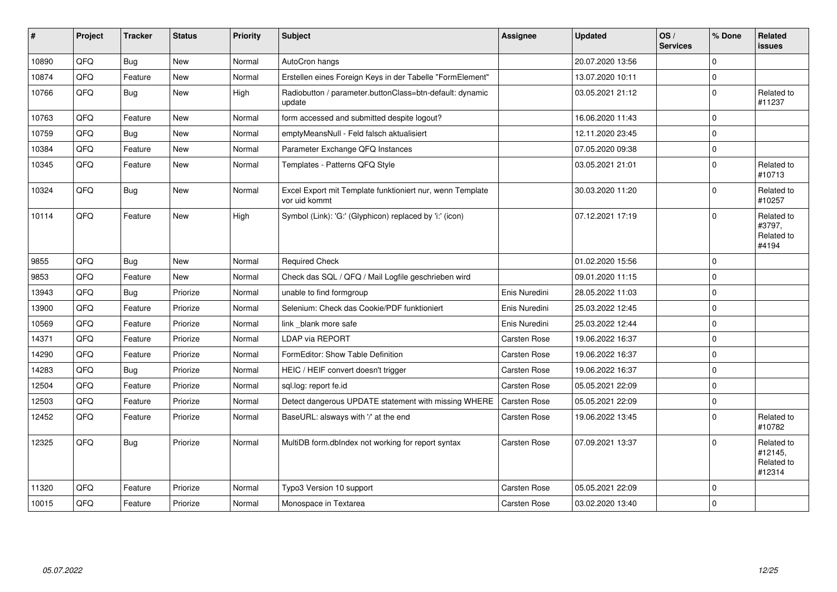| #     | Project | <b>Tracker</b> | <b>Status</b> | <b>Priority</b> | <b>Subject</b>                                                             | Assignee            | <b>Updated</b>   | OS/<br><b>Services</b> | % Done      | Related<br>issues                             |
|-------|---------|----------------|---------------|-----------------|----------------------------------------------------------------------------|---------------------|------------------|------------------------|-------------|-----------------------------------------------|
| 10890 | QFQ     | <b>Bug</b>     | <b>New</b>    | Normal          | AutoCron hangs                                                             |                     | 20.07.2020 13:56 |                        | $\mathbf 0$ |                                               |
| 10874 | QFQ     | Feature        | <b>New</b>    | Normal          | Erstellen eines Foreign Keys in der Tabelle "FormElement"                  |                     | 13.07.2020 10:11 |                        | $\mathbf 0$ |                                               |
| 10766 | QFQ     | <b>Bug</b>     | <b>New</b>    | High            | Radiobutton / parameter.buttonClass=btn-default: dynamic<br>update         |                     | 03.05.2021 21:12 |                        | $\Omega$    | Related to<br>#11237                          |
| 10763 | QFQ     | Feature        | <b>New</b>    | Normal          | form accessed and submitted despite logout?                                |                     | 16.06.2020 11:43 |                        | $\mathbf 0$ |                                               |
| 10759 | QFQ     | Bug            | New           | Normal          | emptyMeansNull - Feld falsch aktualisiert                                  |                     | 12.11.2020 23:45 |                        | $\mathbf 0$ |                                               |
| 10384 | QFQ     | Feature        | <b>New</b>    | Normal          | Parameter Exchange QFQ Instances                                           |                     | 07.05.2020 09:38 |                        | $\mathbf 0$ |                                               |
| 10345 | QFQ     | Feature        | New           | Normal          | Templates - Patterns QFQ Style                                             |                     | 03.05.2021 21:01 |                        | $\mathbf 0$ | Related to<br>#10713                          |
| 10324 | QFQ     | <b>Bug</b>     | New           | Normal          | Excel Export mit Template funktioniert nur, wenn Template<br>vor uid kommt |                     | 30.03.2020 11:20 |                        | $\mathbf 0$ | Related to<br>#10257                          |
| 10114 | QFQ     | Feature        | <b>New</b>    | High            | Symbol (Link): 'G:' (Glyphicon) replaced by 'i:' (icon)                    |                     | 07.12.2021 17:19 |                        | $\Omega$    | Related to<br>#3797,<br>Related to<br>#4194   |
| 9855  | QFQ     | <b>Bug</b>     | New           | Normal          | <b>Required Check</b>                                                      |                     | 01.02.2020 15:56 |                        | $\mathbf 0$ |                                               |
| 9853  | QFQ     | Feature        | New           | Normal          | Check das SQL / QFQ / Mail Logfile geschrieben wird                        |                     | 09.01.2020 11:15 |                        | $\mathbf 0$ |                                               |
| 13943 | QFQ     | <b>Bug</b>     | Priorize      | Normal          | unable to find formgroup                                                   | Enis Nuredini       | 28.05.2022 11:03 |                        | $\mathbf 0$ |                                               |
| 13900 | QFQ     | Feature        | Priorize      | Normal          | Selenium: Check das Cookie/PDF funktioniert                                | Enis Nuredini       | 25.03.2022 12:45 |                        | $\mathbf 0$ |                                               |
| 10569 | QFQ     | Feature        | Priorize      | Normal          | link blank more safe                                                       | Enis Nuredini       | 25.03.2022 12:44 |                        | $\mathbf 0$ |                                               |
| 14371 | QFQ     | Feature        | Priorize      | Normal          | <b>LDAP via REPORT</b>                                                     | Carsten Rose        | 19.06.2022 16:37 |                        | $\mathbf 0$ |                                               |
| 14290 | QFQ     | Feature        | Priorize      | Normal          | FormEditor: Show Table Definition                                          | Carsten Rose        | 19.06.2022 16:37 |                        | $\mathbf 0$ |                                               |
| 14283 | QFQ     | <b>Bug</b>     | Priorize      | Normal          | HEIC / HEIF convert doesn't trigger                                        | Carsten Rose        | 19.06.2022 16:37 |                        | $\mathbf 0$ |                                               |
| 12504 | QFQ     | Feature        | Priorize      | Normal          | sql.log: report fe.id                                                      | Carsten Rose        | 05.05.2021 22:09 |                        | $\mathbf 0$ |                                               |
| 12503 | QFQ     | Feature        | Priorize      | Normal          | Detect dangerous UPDATE statement with missing WHERE                       | Carsten Rose        | 05.05.2021 22:09 |                        | $\Omega$    |                                               |
| 12452 | QFQ     | Feature        | Priorize      | Normal          | BaseURL: alsways with '/' at the end                                       | Carsten Rose        | 19.06.2022 13:45 |                        | $\mathbf 0$ | Related to<br>#10782                          |
| 12325 | QFQ     | <b>Bug</b>     | Priorize      | Normal          | MultiDB form.dblndex not working for report syntax                         | Carsten Rose        | 07.09.2021 13:37 |                        | $\Omega$    | Related to<br>#12145,<br>Related to<br>#12314 |
| 11320 | QFQ     | Feature        | Priorize      | Normal          | Typo3 Version 10 support                                                   | Carsten Rose        | 05.05.2021 22:09 |                        | $\mathbf 0$ |                                               |
| 10015 | QFQ     | Feature        | Priorize      | Normal          | Monospace in Textarea                                                      | <b>Carsten Rose</b> | 03.02.2020 13:40 |                        | $\mathbf 0$ |                                               |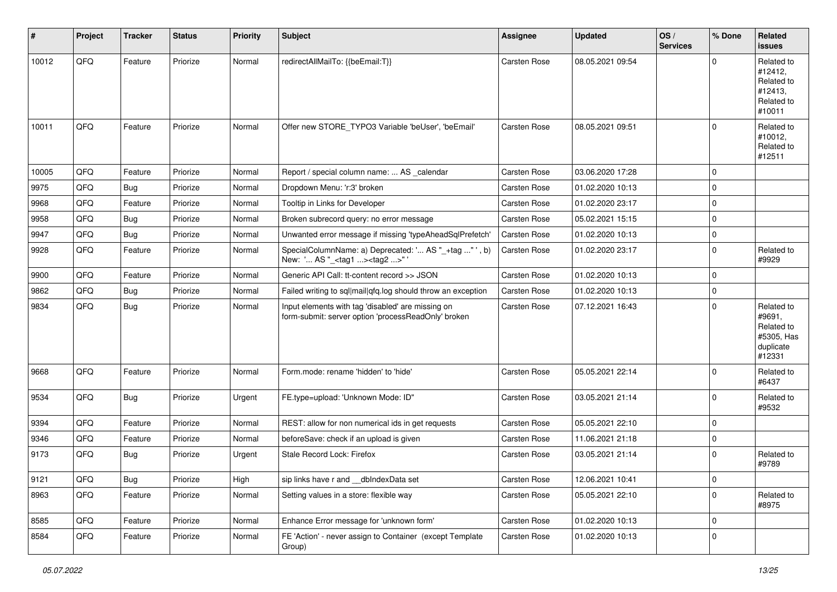| $\vert$ # | Project | <b>Tracker</b> | <b>Status</b> | <b>Priority</b> | Subject                                                                                                  | <b>Assignee</b> | <b>Updated</b>   | OS/<br><b>Services</b> | % Done      | Related<br><b>issues</b>                                                |
|-----------|---------|----------------|---------------|-----------------|----------------------------------------------------------------------------------------------------------|-----------------|------------------|------------------------|-------------|-------------------------------------------------------------------------|
| 10012     | QFQ     | Feature        | Priorize      | Normal          | redirectAllMailTo: {{beEmail:T}}                                                                         | Carsten Rose    | 08.05.2021 09:54 |                        | $\Omega$    | Related to<br>#12412,<br>Related to<br>#12413,<br>Related to<br>#10011  |
| 10011     | QFQ     | Feature        | Priorize      | Normal          | Offer new STORE_TYPO3 Variable 'beUser', 'beEmail'                                                       | Carsten Rose    | 08.05.2021 09:51 |                        | $\Omega$    | Related to<br>#10012,<br>Related to<br>#12511                           |
| 10005     | QFQ     | Feature        | Priorize      | Normal          | Report / special column name:  AS _calendar                                                              | Carsten Rose    | 03.06.2020 17:28 |                        | $\mathbf 0$ |                                                                         |
| 9975      | QFQ     | <b>Bug</b>     | Priorize      | Normal          | Dropdown Menu: 'r:3' broken                                                                              | Carsten Rose    | 01.02.2020 10:13 |                        | $\mathbf 0$ |                                                                         |
| 9968      | QFQ     | Feature        | Priorize      | Normal          | Tooltip in Links for Developer                                                                           | Carsten Rose    | 01.02.2020 23:17 |                        | $\pmb{0}$   |                                                                         |
| 9958      | QFQ     | <b>Bug</b>     | Priorize      | Normal          | Broken subrecord query: no error message                                                                 | Carsten Rose    | 05.02.2021 15:15 |                        | $\mathbf 0$ |                                                                         |
| 9947      | QFQ     | <b>Bug</b>     | Priorize      | Normal          | Unwanted error message if missing 'typeAheadSqlPrefetch'                                                 | Carsten Rose    | 01.02.2020 10:13 |                        | $\mathbf 0$ |                                                                         |
| 9928      | QFQ     | Feature        | Priorize      | Normal          | SpecialColumnName: a) Deprecated: ' AS "_+tag " ', b)<br>New: ' AS "_ <tag1><tag2>"</tag2></tag1>        | Carsten Rose    | 01.02.2020 23:17 |                        | $\mathbf 0$ | Related to<br>#9929                                                     |
| 9900      | QFQ     | Feature        | Priorize      | Normal          | Generic API Call: tt-content record >> JSON                                                              | Carsten Rose    | 01.02.2020 10:13 |                        | $\mathbf 0$ |                                                                         |
| 9862      | QFQ     | <b>Bug</b>     | Priorize      | Normal          | Failed writing to sql mail qfq.log should throw an exception                                             | Carsten Rose    | 01.02.2020 10:13 |                        | 0           |                                                                         |
| 9834      | QFQ     | <b>Bug</b>     | Priorize      | Normal          | Input elements with tag 'disabled' are missing on<br>form-submit: server option 'processReadOnly' broken | Carsten Rose    | 07.12.2021 16:43 |                        | $\mathbf 0$ | Related to<br>#9691,<br>Related to<br>#5305, Has<br>duplicate<br>#12331 |
| 9668      | QFQ     | Feature        | Priorize      | Normal          | Form.mode: rename 'hidden' to 'hide'                                                                     | Carsten Rose    | 05.05.2021 22:14 |                        | $\mathbf 0$ | Related to<br>#6437                                                     |
| 9534      | QFQ     | <b>Bug</b>     | Priorize      | Urgent          | FE.type=upload: 'Unknown Mode: ID"                                                                       | Carsten Rose    | 03.05.2021 21:14 |                        | $\mathbf 0$ | Related to<br>#9532                                                     |
| 9394      | QFQ     | Feature        | Priorize      | Normal          | REST: allow for non numerical ids in get requests                                                        | Carsten Rose    | 05.05.2021 22:10 |                        | $\mathbf 0$ |                                                                         |
| 9346      | QFQ     | Feature        | Priorize      | Normal          | beforeSave: check if an upload is given                                                                  | Carsten Rose    | 11.06.2021 21:18 |                        | 0           |                                                                         |
| 9173      | QFQ     | <b>Bug</b>     | Priorize      | Urgent          | Stale Record Lock: Firefox                                                                               | Carsten Rose    | 03.05.2021 21:14 |                        | $\mathbf 0$ | Related to<br>#9789                                                     |
| 9121      | QFG     | <b>Bug</b>     | Priorize      | High            | sip links have r and __dbIndexData set                                                                   | Carsten Rose    | 12.06.2021 10:41 |                        | 0           |                                                                         |
| 8963      | QFQ     | Feature        | Priorize      | Normal          | Setting values in a store: flexible way                                                                  | Carsten Rose    | 05.05.2021 22:10 |                        | $\mathbf 0$ | Related to<br>#8975                                                     |
| 8585      | QFQ     | Feature        | Priorize      | Normal          | Enhance Error message for 'unknown form'                                                                 | Carsten Rose    | 01.02.2020 10:13 |                        | $\mathbf 0$ |                                                                         |
| 8584      | QFQ     | Feature        | Priorize      | Normal          | FE 'Action' - never assign to Container (except Template<br>Group)                                       | Carsten Rose    | 01.02.2020 10:13 |                        | $\mathbf 0$ |                                                                         |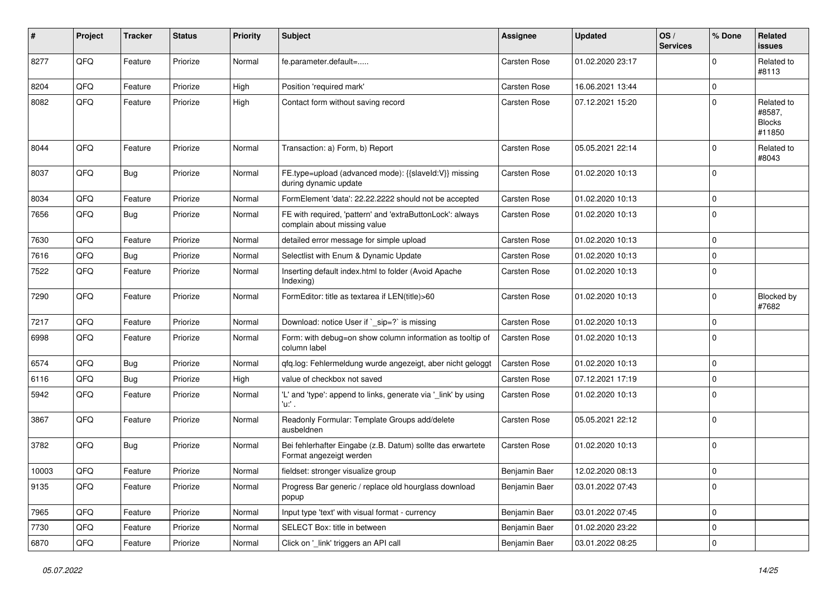| ∦     | Project | <b>Tracker</b> | <b>Status</b> | <b>Priority</b> | <b>Subject</b>                                                                            | <b>Assignee</b> | <b>Updated</b>   | OS/<br><b>Services</b> | % Done      | Related<br><b>issues</b>                        |
|-------|---------|----------------|---------------|-----------------|-------------------------------------------------------------------------------------------|-----------------|------------------|------------------------|-------------|-------------------------------------------------|
| 8277  | QFQ     | Feature        | Priorize      | Normal          | fe.parameter.default=                                                                     | Carsten Rose    | 01.02.2020 23:17 |                        | $\mathbf 0$ | Related to<br>#8113                             |
| 8204  | QFQ     | Feature        | Priorize      | High            | Position 'required mark'                                                                  | Carsten Rose    | 16.06.2021 13:44 |                        | $\mathbf 0$ |                                                 |
| 8082  | QFQ     | Feature        | Priorize      | High            | Contact form without saving record                                                        | Carsten Rose    | 07.12.2021 15:20 |                        | $\mathbf 0$ | Related to<br>#8587,<br><b>Blocks</b><br>#11850 |
| 8044  | QFQ     | Feature        | Priorize      | Normal          | Transaction: a) Form, b) Report                                                           | Carsten Rose    | 05.05.2021 22:14 |                        | $\mathbf 0$ | Related to<br>#8043                             |
| 8037  | QFQ     | <b>Bug</b>     | Priorize      | Normal          | FE.type=upload (advanced mode): {{slaveld:V}} missing<br>during dynamic update            | Carsten Rose    | 01.02.2020 10:13 |                        | $\mathbf 0$ |                                                 |
| 8034  | QFQ     | Feature        | Priorize      | Normal          | FormElement 'data': 22.22.2222 should not be accepted                                     | Carsten Rose    | 01.02.2020 10:13 |                        | $\mathbf 0$ |                                                 |
| 7656  | QFQ     | <b>Bug</b>     | Priorize      | Normal          | FE with required, 'pattern' and 'extraButtonLock': always<br>complain about missing value | Carsten Rose    | 01.02.2020 10:13 |                        | $\Omega$    |                                                 |
| 7630  | QFQ     | Feature        | Priorize      | Normal          | detailed error message for simple upload                                                  | Carsten Rose    | 01.02.2020 10:13 |                        | $\mathbf 0$ |                                                 |
| 7616  | QFQ     | <b>Bug</b>     | Priorize      | Normal          | Selectlist with Enum & Dynamic Update                                                     | Carsten Rose    | 01.02.2020 10:13 |                        | $\mathbf 0$ |                                                 |
| 7522  | QFQ     | Feature        | Priorize      | Normal          | Inserting default index.html to folder (Avoid Apache<br>Indexing)                         | Carsten Rose    | 01.02.2020 10:13 |                        | $\Omega$    |                                                 |
| 7290  | QFQ     | Feature        | Priorize      | Normal          | FormEditor: title as textarea if LEN(title)>60                                            | Carsten Rose    | 01.02.2020 10:13 |                        | $\mathbf 0$ | Blocked by<br>#7682                             |
| 7217  | QFQ     | Feature        | Priorize      | Normal          | Download: notice User if `_sip=?` is missing                                              | Carsten Rose    | 01.02.2020 10:13 |                        | $\mathbf 0$ |                                                 |
| 6998  | QFQ     | Feature        | Priorize      | Normal          | Form: with debug=on show column information as tooltip of<br>column label                 | Carsten Rose    | 01.02.2020 10:13 |                        | $\mathbf 0$ |                                                 |
| 6574  | QFQ     | <b>Bug</b>     | Priorize      | Normal          | gfg.log: Fehlermeldung wurde angezeigt, aber nicht geloggt                                | Carsten Rose    | 01.02.2020 10:13 |                        | $\mathbf 0$ |                                                 |
| 6116  | QFQ     | <b>Bug</b>     | Priorize      | High            | value of checkbox not saved                                                               | Carsten Rose    | 07.12.2021 17:19 |                        | $\mathbf 0$ |                                                 |
| 5942  | QFQ     | Feature        | Priorize      | Normal          | 'L' and 'type': append to links, generate via '_link' by using<br>'u:' .                  | Carsten Rose    | 01.02.2020 10:13 |                        | 0           |                                                 |
| 3867  | QFQ     | Feature        | Priorize      | Normal          | Readonly Formular: Template Groups add/delete<br>ausbeldnen                               | Carsten Rose    | 05.05.2021 22:12 |                        | 0           |                                                 |
| 3782  | QFQ     | <b>Bug</b>     | Priorize      | Normal          | Bei fehlerhafter Eingabe (z.B. Datum) sollte das erwartete<br>Format angezeigt werden     | Carsten Rose    | 01.02.2020 10:13 |                        | $\mathbf 0$ |                                                 |
| 10003 | QFG     | Feature        | Priorize      | Normal          | fieldset: stronger visualize group                                                        | Benjamin Baer   | 12.02.2020 08:13 |                        | $\mathbf 0$ |                                                 |
| 9135  | QFQ     | Feature        | Priorize      | Normal          | Progress Bar generic / replace old hourglass download<br>popup                            | Benjamin Baer   | 03.01.2022 07:43 |                        | $\mathbf 0$ |                                                 |
| 7965  | QFQ     | Feature        | Priorize      | Normal          | Input type 'text' with visual format - currency                                           | Benjamin Baer   | 03.01.2022 07:45 |                        | 0           |                                                 |
| 7730  | QFQ     | Feature        | Priorize      | Normal          | SELECT Box: title in between                                                              | Benjamin Baer   | 01.02.2020 23:22 |                        | $\mathbf 0$ |                                                 |
| 6870  | QFQ     | Feature        | Priorize      | Normal          | Click on '_link' triggers an API call                                                     | Benjamin Baer   | 03.01.2022 08:25 |                        | $\pmb{0}$   |                                                 |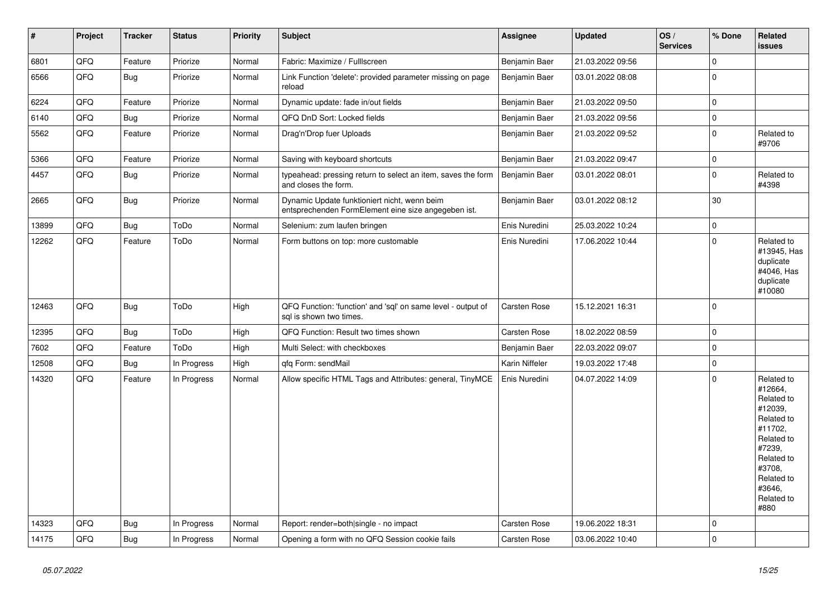| $\vert$ # | Project | <b>Tracker</b> | <b>Status</b> | <b>Priority</b> | <b>Subject</b>                                                                                      | Assignee            | <b>Updated</b>   | OS/<br><b>Services</b> | % Done      | Related<br><b>issues</b>                                                                                                                                              |
|-----------|---------|----------------|---------------|-----------------|-----------------------------------------------------------------------------------------------------|---------------------|------------------|------------------------|-------------|-----------------------------------------------------------------------------------------------------------------------------------------------------------------------|
| 6801      | QFQ     | Feature        | Priorize      | Normal          | Fabric: Maximize / FullIscreen                                                                      | Benjamin Baer       | 21.03.2022 09:56 |                        | $\mathbf 0$ |                                                                                                                                                                       |
| 6566      | QFQ     | <b>Bug</b>     | Priorize      | Normal          | Link Function 'delete': provided parameter missing on page<br>reload                                | Benjamin Baer       | 03.01.2022 08:08 |                        | $\Omega$    |                                                                                                                                                                       |
| 6224      | QFQ     | Feature        | Priorize      | Normal          | Dynamic update: fade in/out fields                                                                  | Benjamin Baer       | 21.03.2022 09:50 |                        | $\pmb{0}$   |                                                                                                                                                                       |
| 6140      | QFQ     | <b>Bug</b>     | Priorize      | Normal          | QFQ DnD Sort: Locked fields                                                                         | Benjamin Baer       | 21.03.2022 09:56 |                        | $\pmb{0}$   |                                                                                                                                                                       |
| 5562      | QFQ     | Feature        | Priorize      | Normal          | Drag'n'Drop fuer Uploads                                                                            | Benjamin Baer       | 21.03.2022 09:52 |                        | $\mathbf 0$ | Related to<br>#9706                                                                                                                                                   |
| 5366      | QFQ     | Feature        | Priorize      | Normal          | Saving with keyboard shortcuts                                                                      | Benjamin Baer       | 21.03.2022 09:47 |                        | $\pmb{0}$   |                                                                                                                                                                       |
| 4457      | QFQ     | <b>Bug</b>     | Priorize      | Normal          | typeahead: pressing return to select an item, saves the form<br>and closes the form.                | Benjamin Baer       | 03.01.2022 08:01 |                        | $\pmb{0}$   | Related to<br>#4398                                                                                                                                                   |
| 2665      | QFQ     | <b>Bug</b>     | Priorize      | Normal          | Dynamic Update funktioniert nicht, wenn beim<br>entsprechenden FormElement eine size angegeben ist. | Benjamin Baer       | 03.01.2022 08:12 |                        | 30          |                                                                                                                                                                       |
| 13899     | QFQ     | <b>Bug</b>     | ToDo          | Normal          | Selenium: zum laufen bringen                                                                        | Enis Nuredini       | 25.03.2022 10:24 |                        | $\mathbf 0$ |                                                                                                                                                                       |
| 12262     | QFQ     | Feature        | ToDo          | Normal          | Form buttons on top: more customable                                                                | Enis Nuredini       | 17.06.2022 10:44 |                        | $\Omega$    | Related to<br>#13945, Has<br>duplicate<br>#4046, Has<br>duplicate<br>#10080                                                                                           |
| 12463     | QFQ     | <b>Bug</b>     | ToDo          | High            | QFQ Function: 'function' and 'sql' on same level - output of<br>sql is shown two times.             | <b>Carsten Rose</b> | 15.12.2021 16:31 |                        | $\mathbf 0$ |                                                                                                                                                                       |
| 12395     | QFQ     | <b>Bug</b>     | ToDo          | High            | QFQ Function: Result two times shown                                                                | <b>Carsten Rose</b> | 18.02.2022 08:59 |                        | $\pmb{0}$   |                                                                                                                                                                       |
| 7602      | QFQ     | Feature        | ToDo          | High            | Multi Select: with checkboxes                                                                       | Benjamin Baer       | 22.03.2022 09:07 |                        | $\mathbf 0$ |                                                                                                                                                                       |
| 12508     | QFQ     | Bug            | In Progress   | High            | gfg Form: sendMail                                                                                  | Karin Niffeler      | 19.03.2022 17:48 |                        | $\mathbf 0$ |                                                                                                                                                                       |
| 14320     | QFQ     | Feature        | In Progress   | Normal          | Allow specific HTML Tags and Attributes: general, TinyMCE                                           | Enis Nuredini       | 04.07.2022 14:09 |                        | $\Omega$    | Related to<br>#12664,<br>Related to<br>#12039,<br>Related to<br>#11702,<br>Related to<br>#7239,<br>Related to<br>#3708,<br>Related to<br>#3646,<br>Related to<br>#880 |
| 14323     | QFQ     | <b>Bug</b>     | In Progress   | Normal          | Report: render=both single - no impact                                                              | Carsten Rose        | 19.06.2022 18:31 |                        | $\mathbf 0$ |                                                                                                                                                                       |
| 14175     | QFQ     | <b>Bug</b>     | In Progress   | Normal          | Opening a form with no QFQ Session cookie fails                                                     | Carsten Rose        | 03.06.2022 10:40 |                        | $\mathbf 0$ |                                                                                                                                                                       |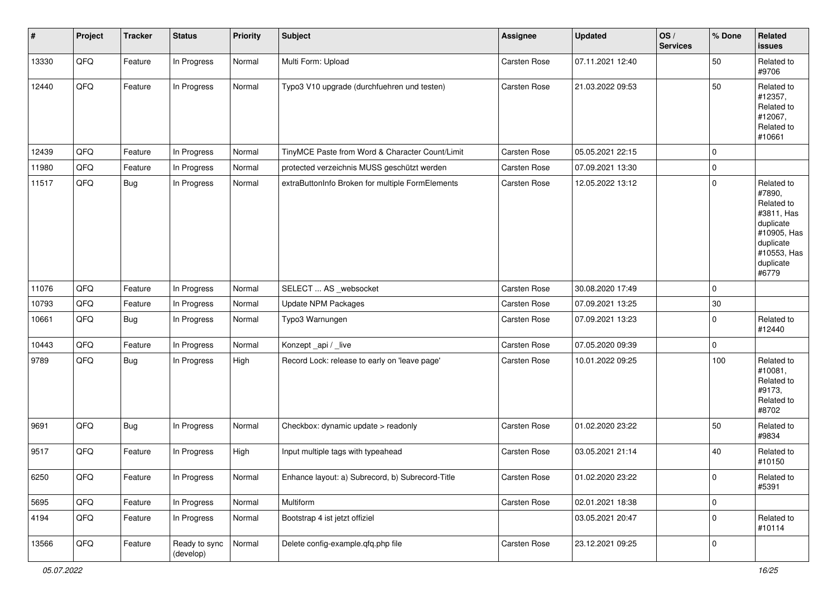| #     | Project | <b>Tracker</b> | <b>Status</b>              | <b>Priority</b> | <b>Subject</b>                                   | Assignee     | <b>Updated</b>   | OS/<br><b>Services</b> | % Done      | Related<br><b>issues</b>                                                                                                       |
|-------|---------|----------------|----------------------------|-----------------|--------------------------------------------------|--------------|------------------|------------------------|-------------|--------------------------------------------------------------------------------------------------------------------------------|
| 13330 | QFQ     | Feature        | In Progress                | Normal          | Multi Form: Upload                               | Carsten Rose | 07.11.2021 12:40 |                        | 50          | Related to<br>#9706                                                                                                            |
| 12440 | QFQ     | Feature        | In Progress                | Normal          | Typo3 V10 upgrade (durchfuehren und testen)      | Carsten Rose | 21.03.2022 09:53 |                        | 50          | Related to<br>#12357,<br>Related to<br>#12067,<br>Related to<br>#10661                                                         |
| 12439 | QFQ     | Feature        | In Progress                | Normal          | TinyMCE Paste from Word & Character Count/Limit  | Carsten Rose | 05.05.2021 22:15 |                        | $\mathbf 0$ |                                                                                                                                |
| 11980 | QFQ     | Feature        | In Progress                | Normal          | protected verzeichnis MUSS geschützt werden      | Carsten Rose | 07.09.2021 13:30 |                        | 0           |                                                                                                                                |
| 11517 | QFQ     | Bug            | In Progress                | Normal          | extraButtonInfo Broken for multiple FormElements | Carsten Rose | 12.05.2022 13:12 |                        | 0           | Related to<br>#7890,<br>Related to<br>#3811, Has<br>duplicate<br>#10905, Has<br>duplicate<br>#10553, Has<br>duplicate<br>#6779 |
| 11076 | QFQ     | Feature        | In Progress                | Normal          | SELECT  AS _websocket                            | Carsten Rose | 30.08.2020 17:49 |                        | 0           |                                                                                                                                |
| 10793 | QFQ     | Feature        | In Progress                | Normal          | Update NPM Packages                              | Carsten Rose | 07.09.2021 13:25 |                        | 30          |                                                                                                                                |
| 10661 | QFQ     | Bug            | In Progress                | Normal          | Typo3 Warnungen                                  | Carsten Rose | 07.09.2021 13:23 |                        | 0           | Related to<br>#12440                                                                                                           |
| 10443 | QFQ     | Feature        | In Progress                | Normal          | Konzept_api / _live                              | Carsten Rose | 07.05.2020 09:39 |                        | 0           |                                                                                                                                |
| 9789  | QFQ     | Bug            | In Progress                | High            | Record Lock: release to early on 'leave page'    | Carsten Rose | 10.01.2022 09:25 |                        | 100         | Related to<br>#10081,<br>Related to<br>#9173,<br>Related to<br>#8702                                                           |
| 9691  | QFQ     | Bug            | In Progress                | Normal          | Checkbox: dynamic update > readonly              | Carsten Rose | 01.02.2020 23:22 |                        | 50          | Related to<br>#9834                                                                                                            |
| 9517  | QFQ     | Feature        | In Progress                | High            | Input multiple tags with typeahead               | Carsten Rose | 03.05.2021 21:14 |                        | 40          | Related to<br>#10150                                                                                                           |
| 6250  | QFQ     | Feature        | In Progress                | Normal          | Enhance layout: a) Subrecord, b) Subrecord-Title | Carsten Rose | 01.02.2020 23:22 |                        | 0           | Related to<br>#5391                                                                                                            |
| 5695  | QFQ     | Feature        | In Progress                | Normal          | Multiform                                        | Carsten Rose | 02.01.2021 18:38 |                        | 0           |                                                                                                                                |
| 4194  | QFQ     | Feature        | In Progress                | Normal          | Bootstrap 4 ist jetzt offiziel                   |              | 03.05.2021 20:47 |                        | 0           | Related to<br>#10114                                                                                                           |
| 13566 | QFQ     | Feature        | Ready to sync<br>(develop) | Normal          | Delete config-example.qfq.php file               | Carsten Rose | 23.12.2021 09:25 |                        | 0           |                                                                                                                                |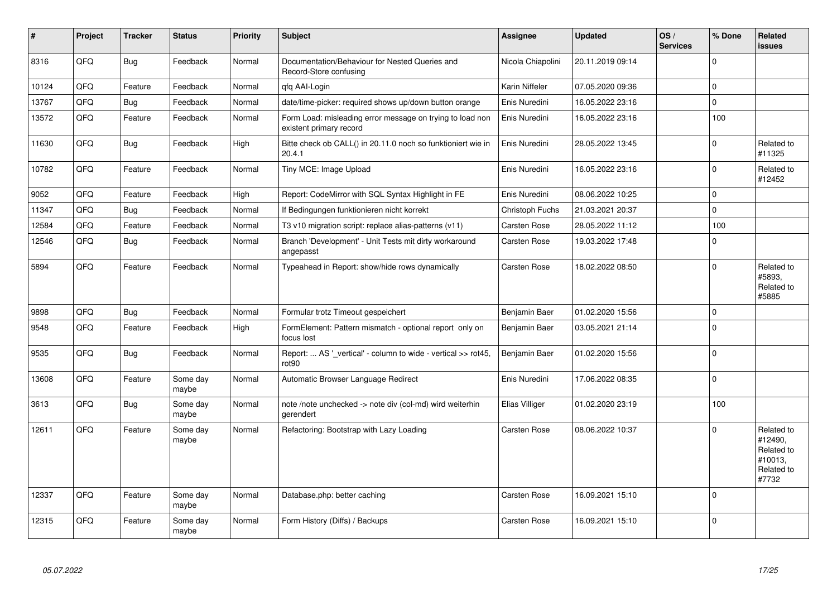| $\pmb{\sharp}$ | Project | <b>Tracker</b> | <b>Status</b>     | <b>Priority</b> | <b>Subject</b>                                                                       | Assignee          | <b>Updated</b>   | OS/<br><b>Services</b> | % Done   | Related<br>issues                                                     |
|----------------|---------|----------------|-------------------|-----------------|--------------------------------------------------------------------------------------|-------------------|------------------|------------------------|----------|-----------------------------------------------------------------------|
| 8316           | QFQ     | Bug            | Feedback          | Normal          | Documentation/Behaviour for Nested Queries and<br>Record-Store confusing             | Nicola Chiapolini | 20.11.2019 09:14 |                        | $\Omega$ |                                                                       |
| 10124          | QFQ     | Feature        | Feedback          | Normal          | gfg AAI-Login                                                                        | Karin Niffeler    | 07.05.2020 09:36 |                        | $\Omega$ |                                                                       |
| 13767          | QFQ     | Bug            | Feedback          | Normal          | date/time-picker: required shows up/down button orange                               | Enis Nuredini     | 16.05.2022 23:16 |                        | 0        |                                                                       |
| 13572          | QFQ     | Feature        | Feedback          | Normal          | Form Load: misleading error message on trying to load non<br>existent primary record | Enis Nuredini     | 16.05.2022 23:16 |                        | 100      |                                                                       |
| 11630          | QFQ     | Bug            | Feedback          | High            | Bitte check ob CALL() in 20.11.0 noch so funktioniert wie in<br>20.4.1               | Enis Nuredini     | 28.05.2022 13:45 |                        | $\Omega$ | Related to<br>#11325                                                  |
| 10782          | QFQ     | Feature        | Feedback          | Normal          | Tiny MCE: Image Upload                                                               | Enis Nuredini     | 16.05.2022 23:16 |                        | $\Omega$ | Related to<br>#12452                                                  |
| 9052           | QFQ     | Feature        | Feedback          | High            | Report: CodeMirror with SQL Syntax Highlight in FE                                   | Enis Nuredini     | 08.06.2022 10:25 |                        | 0        |                                                                       |
| 11347          | QFQ     | Bug            | Feedback          | Normal          | If Bedingungen funktionieren nicht korrekt                                           | Christoph Fuchs   | 21.03.2021 20:37 |                        | $\Omega$ |                                                                       |
| 12584          | QFQ     | Feature        | Feedback          | Normal          | T3 v10 migration script: replace alias-patterns (v11)                                | Carsten Rose      | 28.05.2022 11:12 |                        | 100      |                                                                       |
| 12546          | QFQ     | Bug            | Feedback          | Normal          | Branch 'Development' - Unit Tests mit dirty workaround<br>angepasst                  | Carsten Rose      | 19.03.2022 17:48 |                        | 0        |                                                                       |
| 5894           | QFQ     | Feature        | Feedback          | Normal          | Typeahead in Report: show/hide rows dynamically                                      | Carsten Rose      | 18.02.2022 08:50 |                        | 0        | Related to<br>#5893.<br>Related to<br>#5885                           |
| 9898           | QFQ     | Bug            | Feedback          | Normal          | Formular trotz Timeout gespeichert                                                   | Benjamin Baer     | 01.02.2020 15:56 |                        | $\Omega$ |                                                                       |
| 9548           | QFQ     | Feature        | Feedback          | High            | FormElement: Pattern mismatch - optional report only on<br>focus lost                | Benjamin Baer     | 03.05.2021 21:14 |                        | $\Omega$ |                                                                       |
| 9535           | QFQ     | Bug            | Feedback          | Normal          | Report:  AS ' vertical' - column to wide - vertical >> rot45,<br>rot <sub>90</sub>   | Benjamin Baer     | 01.02.2020 15:56 |                        | $\Omega$ |                                                                       |
| 13608          | QFQ     | Feature        | Some day<br>maybe | Normal          | Automatic Browser Language Redirect                                                  | Enis Nuredini     | 17.06.2022 08:35 |                        | 0        |                                                                       |
| 3613           | QFQ     | <b>Bug</b>     | Some day<br>maybe | Normal          | note /note unchecked -> note div (col-md) wird weiterhin<br>gerendert                | Elias Villiger    | 01.02.2020 23:19 |                        | 100      |                                                                       |
| 12611          | QFQ     | Feature        | Some day<br>maybe | Normal          | Refactoring: Bootstrap with Lazy Loading                                             | Carsten Rose      | 08.06.2022 10:37 |                        | $\Omega$ | Related to<br>#12490,<br>Related to<br>#10013,<br>Related to<br>#7732 |
| 12337          | QFQ     | Feature        | Some day<br>maybe | Normal          | Database.php: better caching                                                         | Carsten Rose      | 16.09.2021 15:10 |                        | $\Omega$ |                                                                       |
| 12315          | QFQ     | Feature        | Some day<br>maybe | Normal          | Form History (Diffs) / Backups                                                       | Carsten Rose      | 16.09.2021 15:10 |                        | $\Omega$ |                                                                       |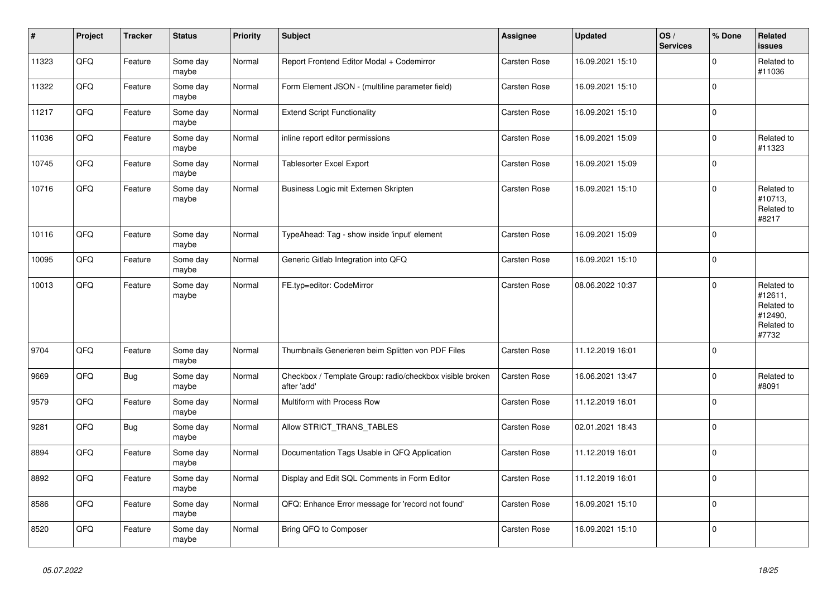| $\vert$ # | Project | <b>Tracker</b> | <b>Status</b>     | <b>Priority</b> | <b>Subject</b>                                                          | Assignee     | <b>Updated</b>   | OS/<br><b>Services</b> | % Done      | Related<br><b>issues</b>                                              |
|-----------|---------|----------------|-------------------|-----------------|-------------------------------------------------------------------------|--------------|------------------|------------------------|-------------|-----------------------------------------------------------------------|
| 11323     | QFQ     | Feature        | Some day<br>maybe | Normal          | Report Frontend Editor Modal + Codemirror                               | Carsten Rose | 16.09.2021 15:10 |                        | $\Omega$    | Related to<br>#11036                                                  |
| 11322     | QFQ     | Feature        | Some day<br>maybe | Normal          | Form Element JSON - (multiline parameter field)                         | Carsten Rose | 16.09.2021 15:10 |                        | $\mathbf 0$ |                                                                       |
| 11217     | QFQ     | Feature        | Some day<br>maybe | Normal          | <b>Extend Script Functionality</b>                                      | Carsten Rose | 16.09.2021 15:10 |                        | $\Omega$    |                                                                       |
| 11036     | QFQ     | Feature        | Some day<br>maybe | Normal          | inline report editor permissions                                        | Carsten Rose | 16.09.2021 15:09 |                        | $\mathbf 0$ | Related to<br>#11323                                                  |
| 10745     | QFQ     | Feature        | Some day<br>maybe | Normal          | <b>Tablesorter Excel Export</b>                                         | Carsten Rose | 16.09.2021 15:09 |                        | $\Omega$    |                                                                       |
| 10716     | QFQ     | Feature        | Some day<br>maybe | Normal          | Business Logic mit Externen Skripten                                    | Carsten Rose | 16.09.2021 15:10 |                        | $\Omega$    | Related to<br>#10713,<br>Related to<br>#8217                          |
| 10116     | QFQ     | Feature        | Some day<br>maybe | Normal          | TypeAhead: Tag - show inside 'input' element                            | Carsten Rose | 16.09.2021 15:09 |                        | $\Omega$    |                                                                       |
| 10095     | QFQ     | Feature        | Some day<br>maybe | Normal          | Generic Gitlab Integration into QFQ                                     | Carsten Rose | 16.09.2021 15:10 |                        | $\mathbf 0$ |                                                                       |
| 10013     | QFQ     | Feature        | Some day<br>maybe | Normal          | FE.typ=editor: CodeMirror                                               | Carsten Rose | 08.06.2022 10:37 |                        | $\Omega$    | Related to<br>#12611,<br>Related to<br>#12490,<br>Related to<br>#7732 |
| 9704      | QFQ     | Feature        | Some day<br>maybe | Normal          | Thumbnails Generieren beim Splitten von PDF Files                       | Carsten Rose | 11.12.2019 16:01 |                        | $\Omega$    |                                                                       |
| 9669      | QFQ     | <b>Bug</b>     | Some day<br>maybe | Normal          | Checkbox / Template Group: radio/checkbox visible broken<br>after 'add' | Carsten Rose | 16.06.2021 13:47 |                        | $\pmb{0}$   | Related to<br>#8091                                                   |
| 9579      | QFQ     | Feature        | Some day<br>maybe | Normal          | Multiform with Process Row                                              | Carsten Rose | 11.12.2019 16:01 |                        | $\Omega$    |                                                                       |
| 9281      | QFQ     | <b>Bug</b>     | Some day<br>maybe | Normal          | Allow STRICT_TRANS_TABLES                                               | Carsten Rose | 02.01.2021 18:43 |                        | $\mathbf 0$ |                                                                       |
| 8894      | QFQ     | Feature        | Some day<br>maybe | Normal          | Documentation Tags Usable in QFQ Application                            | Carsten Rose | 11.12.2019 16:01 |                        | $\mathbf 0$ |                                                                       |
| 8892      | QFQ     | Feature        | Some day<br>maybe | Normal          | Display and Edit SQL Comments in Form Editor                            | Carsten Rose | 11.12.2019 16:01 |                        | $\Omega$    |                                                                       |
| 8586      | QFQ     | Feature        | Some day<br>maybe | Normal          | QFQ: Enhance Error message for 'record not found'                       | Carsten Rose | 16.09.2021 15:10 |                        | $\Omega$    |                                                                       |
| 8520      | QFQ     | Feature        | Some day<br>maybe | Normal          | Bring QFQ to Composer                                                   | Carsten Rose | 16.09.2021 15:10 |                        | $\pmb{0}$   |                                                                       |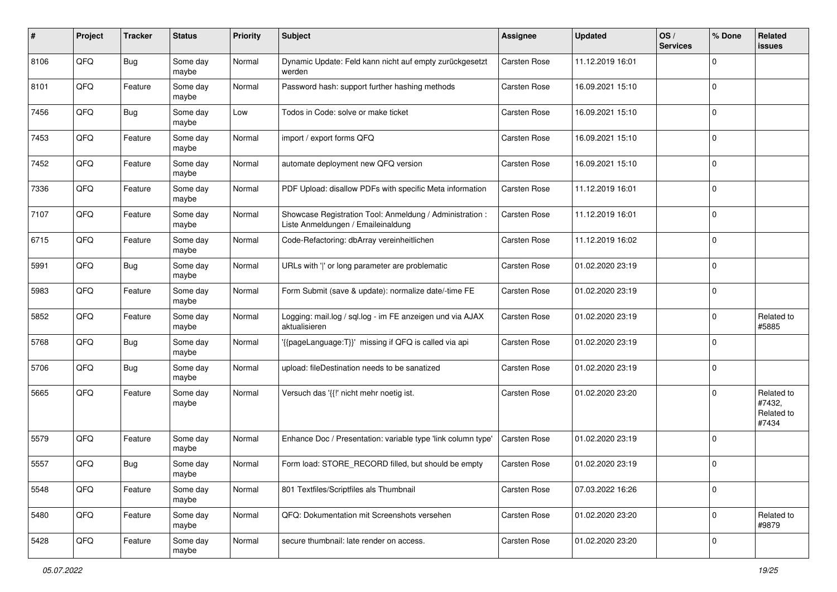| #    | Project | <b>Tracker</b> | <b>Status</b>     | <b>Priority</b> | <b>Subject</b>                                                                                 | <b>Assignee</b>     | <b>Updated</b>   | OS/<br><b>Services</b> | % Done      | Related<br><b>issues</b>                    |
|------|---------|----------------|-------------------|-----------------|------------------------------------------------------------------------------------------------|---------------------|------------------|------------------------|-------------|---------------------------------------------|
| 8106 | QFQ     | <b>Bug</b>     | Some day<br>maybe | Normal          | Dynamic Update: Feld kann nicht auf empty zurückgesetzt<br>werden                              | <b>Carsten Rose</b> | 11.12.2019 16:01 |                        | $\mathbf 0$ |                                             |
| 8101 | QFQ     | Feature        | Some day<br>maybe | Normal          | Password hash: support further hashing methods                                                 | Carsten Rose        | 16.09.2021 15:10 |                        | $\mathbf 0$ |                                             |
| 7456 | QFQ     | <b>Bug</b>     | Some day<br>maybe | Low             | Todos in Code: solve or make ticket                                                            | Carsten Rose        | 16.09.2021 15:10 |                        | $\mathbf 0$ |                                             |
| 7453 | QFQ     | Feature        | Some day<br>maybe | Normal          | import / export forms QFQ                                                                      | Carsten Rose        | 16.09.2021 15:10 |                        | $\mathbf 0$ |                                             |
| 7452 | QFQ     | Feature        | Some day<br>maybe | Normal          | automate deployment new QFQ version                                                            | Carsten Rose        | 16.09.2021 15:10 |                        | $\mathbf 0$ |                                             |
| 7336 | QFQ     | Feature        | Some day<br>maybe | Normal          | PDF Upload: disallow PDFs with specific Meta information                                       | Carsten Rose        | 11.12.2019 16:01 |                        | $\Omega$    |                                             |
| 7107 | QFQ     | Feature        | Some day<br>maybe | Normal          | Showcase Registration Tool: Anmeldung / Administration :<br>Liste Anmeldungen / Emaileinaldung | Carsten Rose        | 11.12.2019 16:01 |                        | $\mathbf 0$ |                                             |
| 6715 | QFQ     | Feature        | Some day<br>maybe | Normal          | Code-Refactoring: dbArray vereinheitlichen                                                     | Carsten Rose        | 11.12.2019 16:02 |                        | $\mathbf 0$ |                                             |
| 5991 | QFQ     | Bug            | Some day<br>maybe | Normal          | URLs with ' ' or long parameter are problematic                                                | Carsten Rose        | 01.02.2020 23:19 |                        | $\mathbf 0$ |                                             |
| 5983 | QFQ     | Feature        | Some day<br>maybe | Normal          | Form Submit (save & update): normalize date/-time FE                                           | Carsten Rose        | 01.02.2020 23:19 |                        | $\mathbf 0$ |                                             |
| 5852 | QFQ     | Feature        | Some day<br>maybe | Normal          | Logging: mail.log / sql.log - im FE anzeigen und via AJAX<br>aktualisieren                     | Carsten Rose        | 01.02.2020 23:19 |                        | $\mathbf 0$ | Related to<br>#5885                         |
| 5768 | QFQ     | <b>Bug</b>     | Some day<br>maybe | Normal          | '{{pageLanguage:T}}' missing if QFQ is called via api                                          | Carsten Rose        | 01.02.2020 23:19 |                        | $\mathbf 0$ |                                             |
| 5706 | QFQ     | <b>Bug</b>     | Some day<br>maybe | Normal          | upload: fileDestination needs to be sanatized                                                  | Carsten Rose        | 01.02.2020 23:19 |                        | $\mathbf 0$ |                                             |
| 5665 | QFQ     | Feature        | Some day<br>maybe | Normal          | Versuch das '{{!' nicht mehr noetig ist.                                                       | <b>Carsten Rose</b> | 01.02.2020 23:20 |                        | $\mathbf 0$ | Related to<br>#7432,<br>Related to<br>#7434 |
| 5579 | QFQ     | Feature        | Some day<br>maybe | Normal          | Enhance Doc / Presentation: variable type 'link column type'                                   | Carsten Rose        | 01.02.2020 23:19 |                        | $\mathbf 0$ |                                             |
| 5557 | QFQ     | Bug            | Some day<br>maybe | Normal          | Form load: STORE RECORD filled, but should be empty                                            | Carsten Rose        | 01.02.2020 23:19 |                        | $\mathbf 0$ |                                             |
| 5548 | QFQ     | Feature        | Some day<br>maybe | Normal          | 801 Textfiles/Scriptfiles als Thumbnail                                                        | Carsten Rose        | 07.03.2022 16:26 |                        | $\mathbf 0$ |                                             |
| 5480 | QFQ     | Feature        | Some day<br>maybe | Normal          | QFQ: Dokumentation mit Screenshots versehen                                                    | Carsten Rose        | 01.02.2020 23:20 |                        | $\mathbf 0$ | Related to<br>#9879                         |
| 5428 | QFQ     | Feature        | Some day<br>maybe | Normal          | secure thumbnail: late render on access.                                                       | Carsten Rose        | 01.02.2020 23:20 |                        | $\mathbf 0$ |                                             |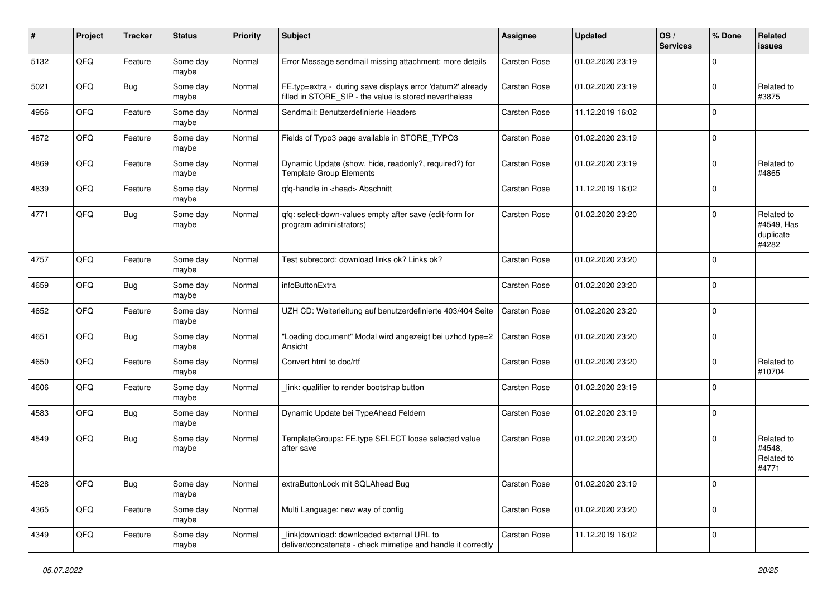| #    | Project | <b>Tracker</b> | <b>Status</b>     | <b>Priority</b> | <b>Subject</b>                                                                                                       | Assignee     | <b>Updated</b>   | OS/<br><b>Services</b> | % Done      | Related<br>issues                              |
|------|---------|----------------|-------------------|-----------------|----------------------------------------------------------------------------------------------------------------------|--------------|------------------|------------------------|-------------|------------------------------------------------|
| 5132 | QFQ     | Feature        | Some day<br>maybe | Normal          | Error Message sendmail missing attachment: more details                                                              | Carsten Rose | 01.02.2020 23:19 |                        | $\Omega$    |                                                |
| 5021 | QFQ     | Bug            | Some day<br>maybe | Normal          | FE.typ=extra - during save displays error 'datum2' already<br>filled in STORE_SIP - the value is stored nevertheless | Carsten Rose | 01.02.2020 23:19 |                        | $\Omega$    | Related to<br>#3875                            |
| 4956 | QFQ     | Feature        | Some day<br>maybe | Normal          | Sendmail: Benutzerdefinierte Headers                                                                                 | Carsten Rose | 11.12.2019 16:02 |                        | $\Omega$    |                                                |
| 4872 | QFQ     | Feature        | Some day<br>maybe | Normal          | Fields of Typo3 page available in STORE_TYPO3                                                                        | Carsten Rose | 01.02.2020 23:19 |                        | $\Omega$    |                                                |
| 4869 | QFQ     | Feature        | Some day<br>maybe | Normal          | Dynamic Update (show, hide, readonly?, required?) for<br><b>Template Group Elements</b>                              | Carsten Rose | 01.02.2020 23:19 |                        | $\mathbf 0$ | Related to<br>#4865                            |
| 4839 | QFQ     | Feature        | Some day<br>maybe | Normal          | qfq-handle in <head> Abschnitt</head>                                                                                | Carsten Rose | 11.12.2019 16:02 |                        | $\Omega$    |                                                |
| 4771 | QFQ     | <b>Bug</b>     | Some day<br>maybe | Normal          | qfq: select-down-values empty after save (edit-form for<br>program administrators)                                   | Carsten Rose | 01.02.2020 23:20 |                        | $\Omega$    | Related to<br>#4549, Has<br>duplicate<br>#4282 |
| 4757 | QFQ     | Feature        | Some day<br>maybe | Normal          | Test subrecord: download links ok? Links ok?                                                                         | Carsten Rose | 01.02.2020 23:20 |                        | $\mathbf 0$ |                                                |
| 4659 | QFQ     | <b>Bug</b>     | Some day<br>maybe | Normal          | infoButtonExtra                                                                                                      | Carsten Rose | 01.02.2020 23:20 |                        | $\Omega$    |                                                |
| 4652 | QFQ     | Feature        | Some day<br>maybe | Normal          | UZH CD: Weiterleitung auf benutzerdefinierte 403/404 Seite                                                           | Carsten Rose | 01.02.2020 23:20 |                        | $\Omega$    |                                                |
| 4651 | QFQ     | Bug            | Some day<br>maybe | Normal          | "Loading document" Modal wird angezeigt bei uzhcd type=2<br>Ansicht                                                  | Carsten Rose | 01.02.2020 23:20 |                        | $\mathbf 0$ |                                                |
| 4650 | QFQ     | Feature        | Some day<br>maybe | Normal          | Convert html to doc/rtf                                                                                              | Carsten Rose | 01.02.2020 23:20 |                        | $\Omega$    | Related to<br>#10704                           |
| 4606 | QFQ     | Feature        | Some day<br>maybe | Normal          | link: qualifier to render bootstrap button                                                                           | Carsten Rose | 01.02.2020 23:19 |                        | $\Omega$    |                                                |
| 4583 | QFQ     | <b>Bug</b>     | Some day<br>maybe | Normal          | Dynamic Update bei TypeAhead Feldern                                                                                 | Carsten Rose | 01.02.2020 23:19 |                        | $\Omega$    |                                                |
| 4549 | QFQ     | Bug            | Some day<br>maybe | Normal          | TemplateGroups: FE.type SELECT loose selected value<br>after save                                                    | Carsten Rose | 01.02.2020 23:20 |                        | $\Omega$    | Related to<br>#4548,<br>Related to<br>#4771    |
| 4528 | QFO     | <b>Bug</b>     | Some day<br>maybe | Normal          | extraButtonLock mit SQLAhead Bug                                                                                     | Carsten Rose | 01.02.2020 23:19 |                        | $\mathbf 0$ |                                                |
| 4365 | QFQ     | Feature        | Some day<br>maybe | Normal          | Multi Language: new way of config                                                                                    | Carsten Rose | 01.02.2020 23:20 |                        | $\mathbf 0$ |                                                |
| 4349 | QFO     | Feature        | Some day<br>maybe | Normal          | link download: downloaded external URL to<br>deliver/concatenate - check mimetipe and handle it correctly            | Carsten Rose | 11.12.2019 16:02 |                        | $\mathbf 0$ |                                                |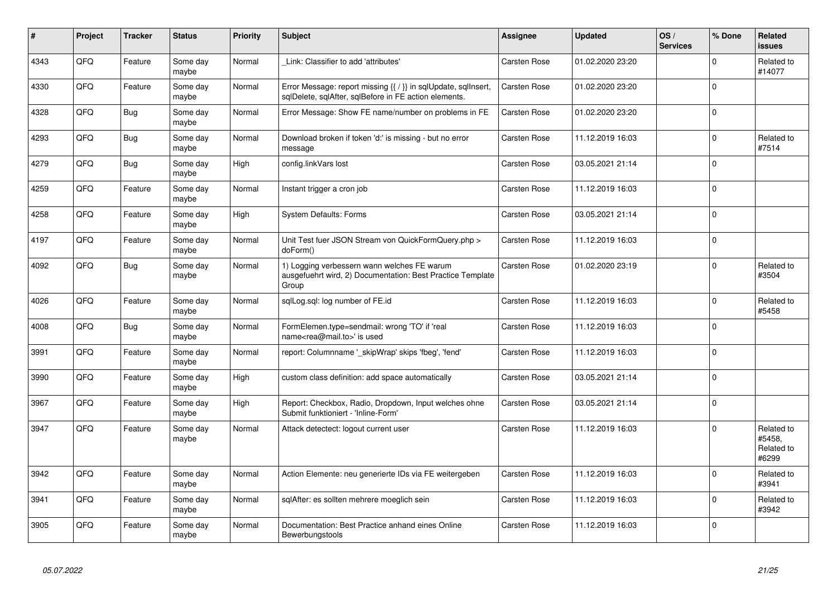| #    | Project | <b>Tracker</b> | <b>Status</b>     | <b>Priority</b> | <b>Subject</b>                                                                                                          | <b>Assignee</b>     | <b>Updated</b>   | OS/<br><b>Services</b> | % Done      | Related<br><b>issues</b>                    |
|------|---------|----------------|-------------------|-----------------|-------------------------------------------------------------------------------------------------------------------------|---------------------|------------------|------------------------|-------------|---------------------------------------------|
| 4343 | QFQ     | Feature        | Some day<br>maybe | Normal          | Link: Classifier to add 'attributes'                                                                                    | Carsten Rose        | 01.02.2020 23:20 |                        | $\Omega$    | Related to<br>#14077                        |
| 4330 | QFQ     | Feature        | Some day<br>maybe | Normal          | Error Message: report missing {{ / }} in sqlUpdate, sqlInsert,<br>sqlDelete, sqlAfter, sqlBefore in FE action elements. | Carsten Rose        | 01.02.2020 23:20 |                        | $\Omega$    |                                             |
| 4328 | QFQ     | Bug            | Some day<br>maybe | Normal          | Error Message: Show FE name/number on problems in FE                                                                    | Carsten Rose        | 01.02.2020 23:20 |                        | $\mathbf 0$ |                                             |
| 4293 | QFQ     | <b>Bug</b>     | Some day<br>maybe | Normal          | Download broken if token 'd:' is missing - but no error<br>message                                                      | Carsten Rose        | 11.12.2019 16:03 |                        | $\Omega$    | Related to<br>#7514                         |
| 4279 | QFQ     | <b>Bug</b>     | Some day<br>maybe | High            | config.linkVars lost                                                                                                    | <b>Carsten Rose</b> | 03.05.2021 21:14 |                        | $\Omega$    |                                             |
| 4259 | QFQ     | Feature        | Some day<br>maybe | Normal          | Instant trigger a cron job                                                                                              | Carsten Rose        | 11.12.2019 16:03 |                        | $\pmb{0}$   |                                             |
| 4258 | QFQ     | Feature        | Some day<br>maybe | High            | <b>System Defaults: Forms</b>                                                                                           | Carsten Rose        | 03.05.2021 21:14 |                        | $\Omega$    |                                             |
| 4197 | QFQ     | Feature        | Some day<br>maybe | Normal          | Unit Test fuer JSON Stream von QuickFormQuery.php ><br>doForm()                                                         | Carsten Rose        | 11.12.2019 16:03 |                        | $\mathbf 0$ |                                             |
| 4092 | QFQ     | <b>Bug</b>     | Some day<br>maybe | Normal          | 1) Logging verbessern wann welches FE warum<br>ausgefuehrt wird, 2) Documentation: Best Practice Template<br>Group      | Carsten Rose        | 01.02.2020 23:19 |                        | $\mathbf 0$ | Related to<br>#3504                         |
| 4026 | QFQ     | Feature        | Some day<br>maybe | Normal          | sglLog.sgl: log number of FE.id                                                                                         | Carsten Rose        | 11.12.2019 16:03 |                        | $\Omega$    | Related to<br>#5458                         |
| 4008 | QFQ     | <b>Bug</b>     | Some day<br>maybe | Normal          | FormElemen.type=sendmail: wrong 'TO' if 'real<br>name <rea@mail.to>' is used</rea@mail.to>                              | Carsten Rose        | 11.12.2019 16:03 |                        | $\Omega$    |                                             |
| 3991 | QFQ     | Feature        | Some day<br>maybe | Normal          | report: Columnname '_skipWrap' skips 'fbeg', 'fend'                                                                     | Carsten Rose        | 11.12.2019 16:03 |                        | $\Omega$    |                                             |
| 3990 | QFQ     | Feature        | Some day<br>maybe | High            | custom class definition: add space automatically                                                                        | Carsten Rose        | 03.05.2021 21:14 |                        | $\Omega$    |                                             |
| 3967 | QFQ     | Feature        | Some day<br>maybe | High            | Report: Checkbox, Radio, Dropdown, Input welches ohne<br>Submit funktioniert - 'Inline-Form'                            | Carsten Rose        | 03.05.2021 21:14 |                        | $\mathbf 0$ |                                             |
| 3947 | QFQ     | Feature        | Some day<br>maybe | Normal          | Attack detectect: logout current user                                                                                   | <b>Carsten Rose</b> | 11.12.2019 16:03 |                        | $\Omega$    | Related to<br>#5458,<br>Related to<br>#6299 |
| 3942 | QFQ     | Feature        | Some day<br>maybe | Normal          | Action Elemente: neu generierte IDs via FE weitergeben                                                                  | <b>Carsten Rose</b> | 11.12.2019 16:03 |                        | $\Omega$    | Related to<br>#3941                         |
| 3941 | QFQ     | Feature        | Some day<br>maybe | Normal          | sqlAfter: es sollten mehrere moeglich sein                                                                              | Carsten Rose        | 11.12.2019 16:03 |                        | $\Omega$    | Related to<br>#3942                         |
| 3905 | QFQ     | Feature        | Some day<br>maybe | Normal          | Documentation: Best Practice anhand eines Online<br>Bewerbungstools                                                     | Carsten Rose        | 11.12.2019 16:03 |                        | $\Omega$    |                                             |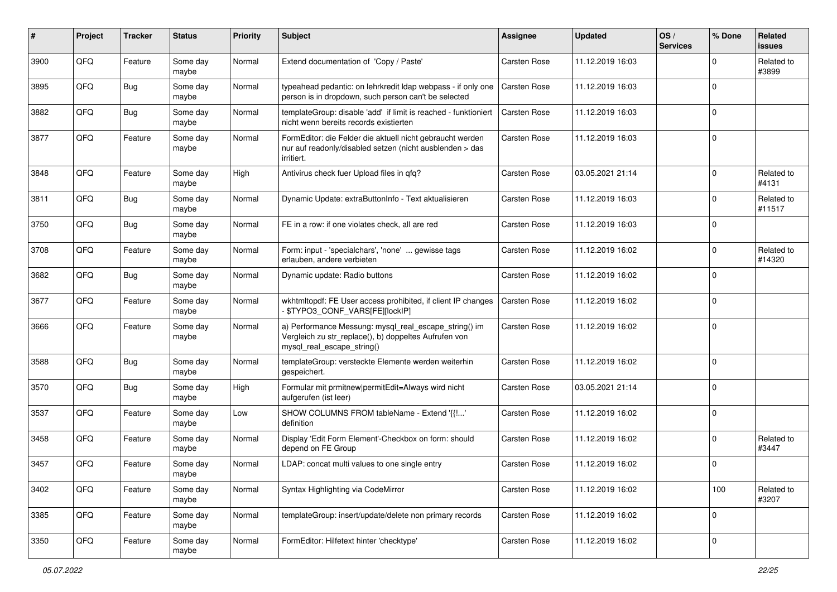| #    | Project | <b>Tracker</b> | <b>Status</b>     | <b>Priority</b> | <b>Subject</b>                                                                                                                               | Assignee     | <b>Updated</b>   | OS/<br><b>Services</b> | % Done      | Related<br><b>issues</b> |
|------|---------|----------------|-------------------|-----------------|----------------------------------------------------------------------------------------------------------------------------------------------|--------------|------------------|------------------------|-------------|--------------------------|
| 3900 | QFQ     | Feature        | Some day<br>maybe | Normal          | Extend documentation of 'Copy / Paste'                                                                                                       | Carsten Rose | 11.12.2019 16:03 |                        | $\Omega$    | Related to<br>#3899      |
| 3895 | QFQ     | Bug            | Some day<br>maybe | Normal          | typeahead pedantic: on lehrkredit Idap webpass - if only one<br>person is in dropdown, such person can't be selected                         | Carsten Rose | 11.12.2019 16:03 |                        | $\mathbf 0$ |                          |
| 3882 | QFQ     | <b>Bug</b>     | Some day<br>maybe | Normal          | templateGroup: disable 'add' if limit is reached - funktioniert<br>nicht wenn bereits records existierten                                    | Carsten Rose | 11.12.2019 16:03 |                        | $\mathbf 0$ |                          |
| 3877 | QFQ     | Feature        | Some day<br>maybe | Normal          | FormEditor: die Felder die aktuell nicht gebraucht werden<br>nur auf readonly/disabled setzen (nicht ausblenden > das<br>irritiert.          | Carsten Rose | 11.12.2019 16:03 |                        | $\mathbf 0$ |                          |
| 3848 | QFQ     | Feature        | Some day<br>maybe | High            | Antivirus check fuer Upload files in gfg?                                                                                                    | Carsten Rose | 03.05.2021 21:14 |                        | $\mathbf 0$ | Related to<br>#4131      |
| 3811 | QFQ     | <b>Bug</b>     | Some day<br>maybe | Normal          | Dynamic Update: extraButtonInfo - Text aktualisieren                                                                                         | Carsten Rose | 11.12.2019 16:03 |                        | $\mathbf 0$ | Related to<br>#11517     |
| 3750 | QFQ     | <b>Bug</b>     | Some day<br>maybe | Normal          | FE in a row: if one violates check, all are red                                                                                              | Carsten Rose | 11.12.2019 16:03 |                        | $\Omega$    |                          |
| 3708 | QFQ     | Feature        | Some day<br>maybe | Normal          | Form: input - 'specialchars', 'none'  gewisse tags<br>erlauben, andere verbieten                                                             | Carsten Rose | 11.12.2019 16:02 |                        | $\mathbf 0$ | Related to<br>#14320     |
| 3682 | QFQ     | <b>Bug</b>     | Some day<br>maybe | Normal          | Dynamic update: Radio buttons                                                                                                                | Carsten Rose | 11.12.2019 16:02 |                        | $\mathbf 0$ |                          |
| 3677 | QFQ     | Feature        | Some day<br>maybe | Normal          | wkhtmltopdf: FE User access prohibited, if client IP changes<br>\$TYPO3_CONF_VARS[FE][lockIP]                                                | Carsten Rose | 11.12.2019 16:02 |                        | $\mathbf 0$ |                          |
| 3666 | QFQ     | Feature        | Some day<br>maybe | Normal          | a) Performance Messung: mysql_real_escape_string() im<br>Vergleich zu str_replace(), b) doppeltes Aufrufen von<br>mysql_real_escape_string() | Carsten Rose | 11.12.2019 16:02 |                        | $\mathbf 0$ |                          |
| 3588 | QFQ     | Bug            | Some day<br>maybe | Normal          | templateGroup: versteckte Elemente werden weiterhin<br>gespeichert.                                                                          | Carsten Rose | 11.12.2019 16:02 |                        | $\mathbf 0$ |                          |
| 3570 | QFQ     | Bug            | Some day<br>maybe | High            | Formular mit prmitnew permitEdit=Always wird nicht<br>aufgerufen (ist leer)                                                                  | Carsten Rose | 03.05.2021 21:14 |                        | $\mathbf 0$ |                          |
| 3537 | QFQ     | Feature        | Some day<br>maybe | Low             | SHOW COLUMNS FROM tableName - Extend '{{!'<br>definition                                                                                     | Carsten Rose | 11.12.2019 16:02 |                        | $\mathbf 0$ |                          |
| 3458 | QFQ     | Feature        | Some day<br>maybe | Normal          | Display 'Edit Form Element'-Checkbox on form: should<br>depend on FE Group                                                                   | Carsten Rose | 11.12.2019 16:02 |                        | $\mathbf 0$ | Related to<br>#3447      |
| 3457 | QFQ     | Feature        | Some day<br>maybe | Normal          | LDAP: concat multi values to one single entry                                                                                                | Carsten Rose | 11.12.2019 16:02 |                        | $\mathbf 0$ |                          |
| 3402 | QFQ     | Feature        | Some day<br>maybe | Normal          | Syntax Highlighting via CodeMirror                                                                                                           | Carsten Rose | 11.12.2019 16:02 |                        | 100         | Related to<br>#3207      |
| 3385 | QFQ     | Feature        | Some day<br>maybe | Normal          | templateGroup: insert/update/delete non primary records                                                                                      | Carsten Rose | 11.12.2019 16:02 |                        | $\mathbf 0$ |                          |
| 3350 | QFQ     | Feature        | Some day<br>maybe | Normal          | FormEditor: Hilfetext hinter 'checktype'                                                                                                     | Carsten Rose | 11.12.2019 16:02 |                        | $\mathbf 0$ |                          |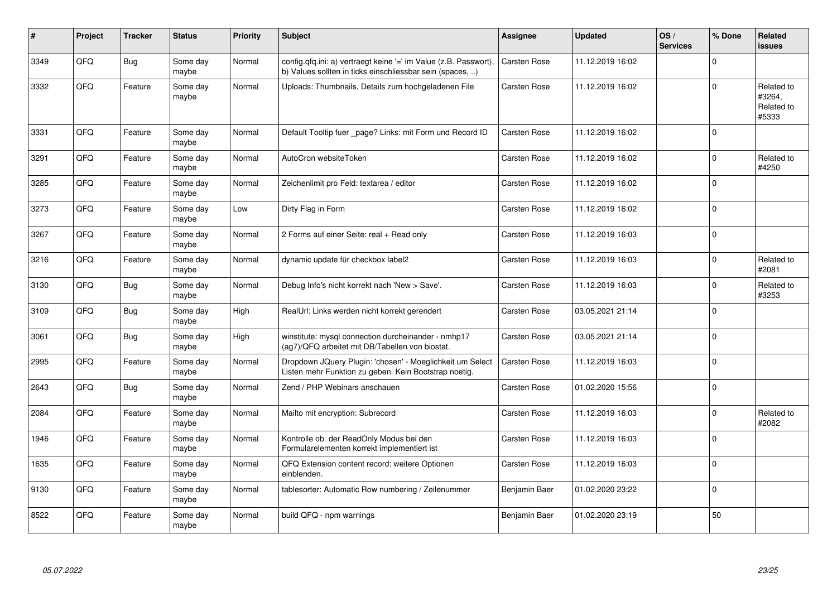| #    | Project | <b>Tracker</b> | <b>Status</b>     | <b>Priority</b> | <b>Subject</b>                                                                                                                | Assignee      | <b>Updated</b>   | OS/<br><b>Services</b> | % Done      | Related<br><b>issues</b>                    |
|------|---------|----------------|-------------------|-----------------|-------------------------------------------------------------------------------------------------------------------------------|---------------|------------------|------------------------|-------------|---------------------------------------------|
| 3349 | QFQ     | <b>Bug</b>     | Some day<br>maybe | Normal          | config.qfq.ini: a) vertraegt keine '=' im Value (z.B. Passwort),<br>b) Values sollten in ticks einschliessbar sein (spaces, ) | Carsten Rose  | 11.12.2019 16:02 |                        | $\mathbf 0$ |                                             |
| 3332 | QFQ     | Feature        | Some day<br>maybe | Normal          | Uploads: Thumbnails, Details zum hochgeladenen File                                                                           | Carsten Rose  | 11.12.2019 16:02 |                        | $\mathbf 0$ | Related to<br>#3264,<br>Related to<br>#5333 |
| 3331 | QFQ     | Feature        | Some day<br>maybe | Normal          | Default Tooltip fuer _page? Links: mit Form und Record ID                                                                     | Carsten Rose  | 11.12.2019 16:02 |                        | $\pmb{0}$   |                                             |
| 3291 | QFQ     | Feature        | Some day<br>maybe | Normal          | AutoCron websiteToken                                                                                                         | Carsten Rose  | 11.12.2019 16:02 |                        | $\mathbf 0$ | Related to<br>#4250                         |
| 3285 | QFQ     | Feature        | Some day<br>maybe | Normal          | Zeichenlimit pro Feld: textarea / editor                                                                                      | Carsten Rose  | 11.12.2019 16:02 |                        | $\mathbf 0$ |                                             |
| 3273 | QFQ     | Feature        | Some day<br>maybe | Low             | Dirty Flag in Form                                                                                                            | Carsten Rose  | 11.12.2019 16:02 |                        | $\mathbf 0$ |                                             |
| 3267 | QFQ     | Feature        | Some day<br>maybe | Normal          | 2 Forms auf einer Seite: real + Read only                                                                                     | Carsten Rose  | 11.12.2019 16:03 |                        | $\pmb{0}$   |                                             |
| 3216 | QFQ     | Feature        | Some day<br>maybe | Normal          | dynamic update für checkbox label2                                                                                            | Carsten Rose  | 11.12.2019 16:03 |                        | 0           | Related to<br>#2081                         |
| 3130 | QFQ     | Bug            | Some day<br>maybe | Normal          | Debug Info's nicht korrekt nach 'New > Save'.                                                                                 | Carsten Rose  | 11.12.2019 16:03 |                        | $\mathbf 0$ | Related to<br>#3253                         |
| 3109 | QFQ     | Bug            | Some day<br>maybe | High            | RealUrl: Links werden nicht korrekt gerendert                                                                                 | Carsten Rose  | 03.05.2021 21:14 |                        | $\mathbf 0$ |                                             |
| 3061 | QFQ     | Bug            | Some day<br>maybe | High            | winstitute: mysql connection durcheinander - nmhp17<br>(ag7)/QFQ arbeitet mit DB/Tabellen von biostat.                        | Carsten Rose  | 03.05.2021 21:14 |                        | $\mathbf 0$ |                                             |
| 2995 | QFQ     | Feature        | Some day<br>maybe | Normal          | Dropdown JQuery Plugin: 'chosen' - Moeglichkeit um Select<br>Listen mehr Funktion zu geben. Kein Bootstrap noetig.            | Carsten Rose  | 11.12.2019 16:03 |                        | $\mathbf 0$ |                                             |
| 2643 | QFQ     | Bug            | Some day<br>maybe | Normal          | Zend / PHP Webinars anschauen                                                                                                 | Carsten Rose  | 01.02.2020 15:56 |                        | $\Omega$    |                                             |
| 2084 | QFQ     | Feature        | Some day<br>maybe | Normal          | Mailto mit encryption: Subrecord                                                                                              | Carsten Rose  | 11.12.2019 16:03 |                        | $\Omega$    | Related to<br>#2082                         |
| 1946 | QFQ     | Feature        | Some day<br>maybe | Normal          | Kontrolle ob der ReadOnly Modus bei den<br>Formularelementen korrekt implementiert ist                                        | Carsten Rose  | 11.12.2019 16:03 |                        | $\Omega$    |                                             |
| 1635 | QFQ     | Feature        | Some day<br>maybe | Normal          | QFQ Extension content record: weitere Optionen<br>einblenden.                                                                 | Carsten Rose  | 11.12.2019 16:03 |                        | $\pmb{0}$   |                                             |
| 9130 | QFQ     | Feature        | Some day<br>maybe | Normal          | tablesorter: Automatic Row numbering / Zeilenummer                                                                            | Benjamin Baer | 01.02.2020 23:22 |                        | $\mathbf 0$ |                                             |
| 8522 | QFQ     | Feature        | Some day<br>maybe | Normal          | build QFQ - npm warnings                                                                                                      | Benjamin Baer | 01.02.2020 23:19 |                        | 50          |                                             |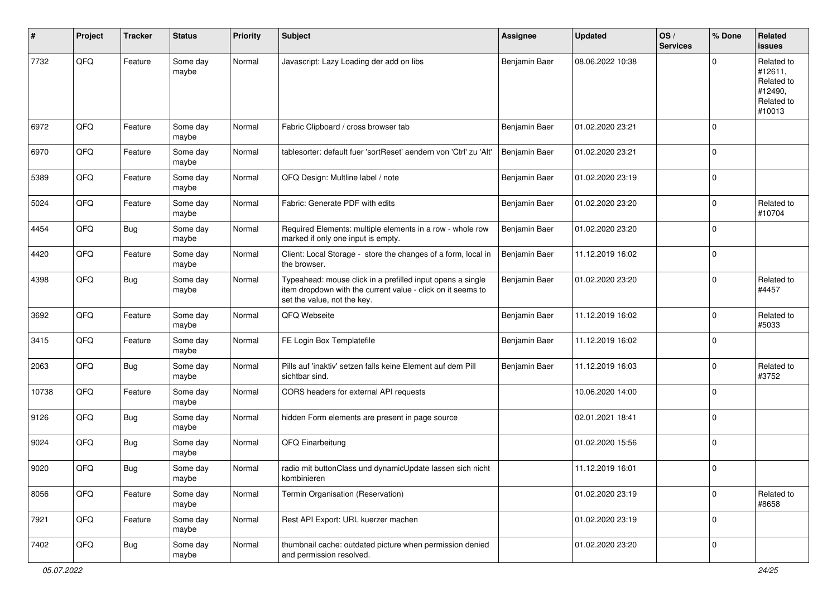| #     | Project | <b>Tracker</b> | <b>Status</b>     | <b>Priority</b> | <b>Subject</b>                                                                                                                                           | Assignee      | <b>Updated</b>   | OS/<br><b>Services</b> | % Done      | Related<br><b>issues</b>                                               |
|-------|---------|----------------|-------------------|-----------------|----------------------------------------------------------------------------------------------------------------------------------------------------------|---------------|------------------|------------------------|-------------|------------------------------------------------------------------------|
| 7732  | QFQ     | Feature        | Some day<br>maybe | Normal          | Javascript: Lazy Loading der add on libs                                                                                                                 | Benjamin Baer | 08.06.2022 10:38 |                        | $\Omega$    | Related to<br>#12611,<br>Related to<br>#12490,<br>Related to<br>#10013 |
| 6972  | QFQ     | Feature        | Some day<br>maybe | Normal          | Fabric Clipboard / cross browser tab                                                                                                                     | Benjamin Baer | 01.02.2020 23:21 |                        | $\mathbf 0$ |                                                                        |
| 6970  | QFQ     | Feature        | Some day<br>maybe | Normal          | tablesorter: default fuer 'sortReset' aendern von 'Ctrl' zu 'Alt'                                                                                        | Benjamin Baer | 01.02.2020 23:21 |                        | $\mathbf 0$ |                                                                        |
| 5389  | QFQ     | Feature        | Some day<br>maybe | Normal          | QFQ Design: Multline label / note                                                                                                                        | Benjamin Baer | 01.02.2020 23:19 |                        | $\mathbf 0$ |                                                                        |
| 5024  | QFQ     | Feature        | Some day<br>maybe | Normal          | Fabric: Generate PDF with edits                                                                                                                          | Benjamin Baer | 01.02.2020 23:20 |                        | $\mathbf 0$ | Related to<br>#10704                                                   |
| 4454  | QFQ     | Bug            | Some day<br>maybe | Normal          | Required Elements: multiple elements in a row - whole row<br>marked if only one input is empty.                                                          | Benjamin Baer | 01.02.2020 23:20 |                        | $\mathbf 0$ |                                                                        |
| 4420  | QFQ     | Feature        | Some day<br>maybe | Normal          | Client: Local Storage - store the changes of a form, local in<br>the browser.                                                                            | Benjamin Baer | 11.12.2019 16:02 |                        | $\mathbf 0$ |                                                                        |
| 4398  | QFQ     | <b>Bug</b>     | Some day<br>maybe | Normal          | Typeahead: mouse click in a prefilled input opens a single<br>item dropdown with the current value - click on it seems to<br>set the value, not the key. | Benjamin Baer | 01.02.2020 23:20 |                        | $\mathbf 0$ | Related to<br>#4457                                                    |
| 3692  | QFQ     | Feature        | Some day<br>maybe | Normal          | QFQ Webseite                                                                                                                                             | Benjamin Baer | 11.12.2019 16:02 |                        | $\mathbf 0$ | Related to<br>#5033                                                    |
| 3415  | QFQ     | Feature        | Some day<br>maybe | Normal          | FE Login Box Templatefile                                                                                                                                | Benjamin Baer | 11.12.2019 16:02 |                        | $\mathbf 0$ |                                                                        |
| 2063  | QFQ     | Bug            | Some day<br>maybe | Normal          | Pills auf 'inaktiv' setzen falls keine Element auf dem Pill<br>sichtbar sind.                                                                            | Benjamin Baer | 11.12.2019 16:03 |                        | $\mathbf 0$ | Related to<br>#3752                                                    |
| 10738 | QFQ     | Feature        | Some day<br>maybe | Normal          | CORS headers for external API requests                                                                                                                   |               | 10.06.2020 14:00 |                        | $\Omega$    |                                                                        |
| 9126  | QFQ     | Bug            | Some day<br>maybe | Normal          | hidden Form elements are present in page source                                                                                                          |               | 02.01.2021 18:41 |                        | $\mathbf 0$ |                                                                        |
| 9024  | QFQ     | Bug            | Some day<br>maybe | Normal          | QFQ Einarbeitung                                                                                                                                         |               | 01.02.2020 15:56 |                        | 0           |                                                                        |
| 9020  | QFQ     | <b>Bug</b>     | Some day<br>maybe | Normal          | radio mit buttonClass und dynamicUpdate lassen sich nicht<br>kombinieren                                                                                 |               | 11.12.2019 16:01 |                        | 0           |                                                                        |
| 8056  | QFQ     | Feature        | Some day<br>maybe | Normal          | Termin Organisation (Reservation)                                                                                                                        |               | 01.02.2020 23:19 |                        | $\mathbf 0$ | Related to<br>#8658                                                    |
| 7921  | QFQ     | Feature        | Some day<br>maybe | Normal          | Rest API Export: URL kuerzer machen                                                                                                                      |               | 01.02.2020 23:19 |                        | $\mathbf 0$ |                                                                        |
| 7402  | QFQ     | Bug            | Some day<br>maybe | Normal          | thumbnail cache: outdated picture when permission denied<br>and permission resolved.                                                                     |               | 01.02.2020 23:20 |                        | $\mathbf 0$ |                                                                        |